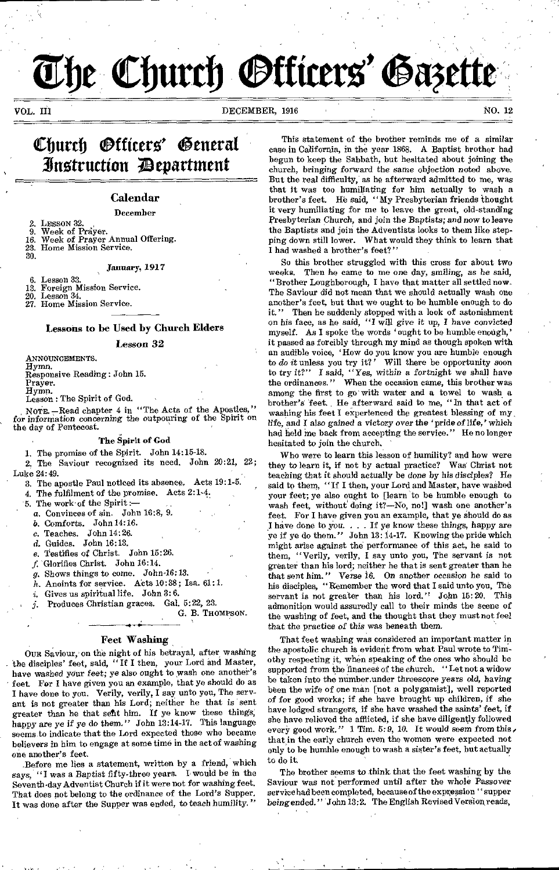# The Church Officers' Gazette

vol. III DECEMBER, 1916 NO. 12

## Church Officers' General inotruction department

#### Calendar

December

LESSON 32

- 
- 9. Week of Prayer. 16. Week of Prayer Annual Offering. 23. Home Mission Service.
- 30.

#### January, 1917

- 6. Lesson 33.<br>13. Foreign M Foreign Mission Service.
- 
- 20. Lesson 34. Home Mission Service.

#### Lessons to be Used by Church Elders

Lesson 32

ANNOUNCEMENTS.

Hymn. Responsive Reading: John 15.

Prayer.

Hymn. Lesson : The Spirit of God.

NOTE. - Read chapter 4 in "The Acts of the Apostles," for information concerning the outpouring of the Spirit on the day of Pentecost.

#### The Spirit of God

1. The promise of the Spirit. John 14:15-18.

2. The Saviour recognized its need. John 20:21, 22; Luke 24:49.

3. The apostle Paul noticed its absence. Acts 19:1-5.

- 4. The fulfilment of the promise. Acts 2:1-4.
- 5. The work of the Spirit :
	- a. Convinces of sin. John 16:8, 9.
	- b. Comforts. John 14:16.
	-
	- c. Teaches. John 14:26.
	- d. Guides. John 16:13.
	- e. Testifies of Christ. John 15:26.
	- f. Glorifies Christ. John 16:14.
	- g. Shows things to come. John-16:13.
	- h. Anoints for service. Acts 10:38; Isa. 61:1.
	- $i.$  Gives us spiritual life. John 3:6.
	- j. Produces Christian graces. Gal. 6:22, 23.

G. B. THOMPSON.

#### Feet Washing

OUR Saviour, on the night of his betrayal, after washing the disciples' feet, said, "If I then, your Lord and Master, have *washed your feet;* ye also ought to wash one another's feet. For I have given you an example, that ye should do as I have done to you. Verily, verily, I say unto you, The servant is not greater than his Lord; neither he that is sent greater than he that sent him. If ye know these things, happy *are ye if* ye do them." John 13:14-17. This language seems to indicate that the Lord expected those who became believers in him to engage at some time in the act of washing one another's feet.

.Before me lies a statement, written by a friend; which says, "I *was* a Baptist fifty-three years. I• would be in the Seventh-day Adventist Church if it were not for washing feet. That does not belong to the ordinance of the Lord's Supper. It was done after the Supper was ended, to teach humility. "

This statement of the brother reminds me of a similar case in California, in the year 1868. A Baptist brother had begun to keep the Sabbath, but hesitated about joining the church, bringing forward the same objection noted above. But the real difficulty, as he afterward admitted to me, *was*  that it was too humiliating for him actually to wash a brother's feet. He said, "My Presbyterian friends thought it very humiliating for me to leave the great, old-standing Presbyterian Church, and join the Baptists; and *now* to leave the Baptists and join the Adventists looks to them like stepping down still lower. What would they think to learn that I had washed a brother's feet?"

So this brother struggled with this cross for about two weeks. Then he came to me one day, smiling, *as* he *said,*  "Brother Loughborough, I have that matter all settled now. The Saviour did not mean that we should actually wash one another's feet, but that we ought to be humble enough to do it." Then he suddenly stopped with a look of astonishment on his face, as he said, "I will *give* it up, I have convicted myself. As I spoke the words ' ought to be humble enough,' it passed as forcibly through my mind as though spoken with an audible voice, 'How do you know you are humble enough to *do* it unless you try it?' Will there be opportunity soon to try it?" I said, "Yes, within a *fortnight* we shall have the ordinances." When the occasion came, this brother was among the first to go' with water and a towel to wash a brother's feet. He afterward said to me, "In that act of washing his feet I experienced the greatest blessing of my, life, and I also *gained a victory over* the 'pride of life,' which had held me back from accepting the service." He no longer hesitated to join the church.

Who were to learn this lesson of humility? and how were they to learn it, if not by actual practice? Was Christ not teaching that it should actually be done by his *disciples?* He said to them, "If I then, your Lord and Master, have washed your feet; ye also ought to [learn to be humble enough to wash feet, without doing it?-No, no!] wash one another's feet. For I have given you an example, that ye should do as I have done to you. . . . If ye know these things, happy are ye if ye do them." John 13: 14-17. Knowing the pride which might arise against the performance of this act, he said to them, "Verily, verily, I say unto you, The servant is not greater than his lord; neither he that is sent greater than he that sent him. " Verse 16. On another occasion he said to his disciples, "Remember the word that I said unto you, The servant is not greater than his lord." John 15:20. This admonition would assuredly call to their minds the Scene of the washing of feet, and the thought that they must not feel that the practice *of this* was beneath them.

That feet washing was considered an important matter in the apostolic church is evident from what Paul wrote to Timothy respecting it, when speaking of the ones who should be supported from the 'finances of the church. " Let not a widow be taken into the number under threescore years old, having been the wife of one man [not a polygamist], well reported of for good works; if she have brought up children, if she have lodged strangers, if she have washed the saints' feet, if she have relieved the afflicted, if she have diligently followed every good work." 1 Tim. 5:9, 10. It would seem from this. that in the early church even the women were expected not only to be humble enough to wash a sister's feet, but actually to do it.

The brother seems to think that the feet washing by the Saviour was not performed until after the whole Passover service had been completed, because of the expression "supper *being ended."* John 13:2. The English Revised Version, reads,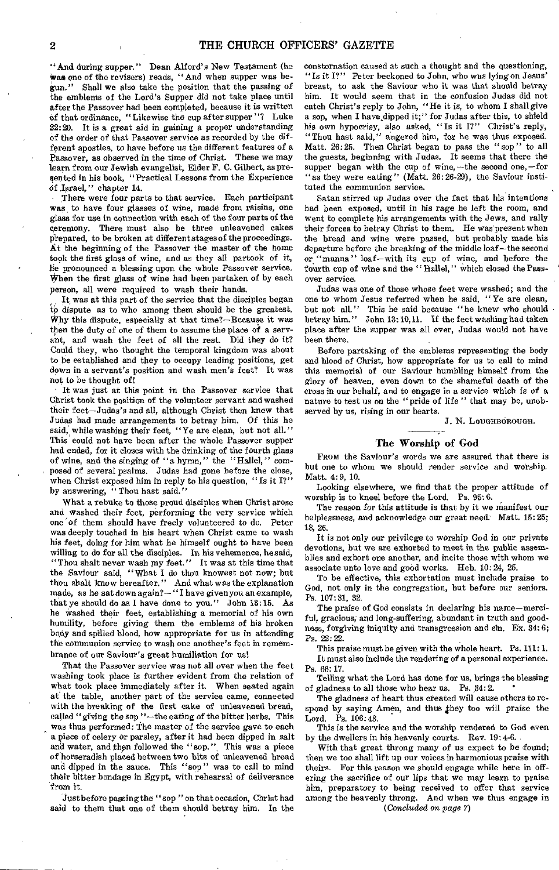"And during supper." Dean Alford's New Testament (he was one of the revisers) reads, "And when supper was be-<br>gun." Shall we also take the position that the passing of Shall we also take the position that the passing of the emblems of the Lord's Supper did not take place until after the Passover had been completed, because it is written of that ordinance, "Likewise the cup after supper "? Luke 22:20. It is a great aid in gaining a proper understanding of the order of that Passover service as recorded by the different apostles, to have before us the different features of a Passover, as observed in the time of Christ. These we may learn from our Jewish evangelist, Elder F. C. Gilbert, as presented in his book, "Practical Lessons from the Experience of Israel," chapter 14.

There were four parts to that service. Each participant was to have four glasses of wine, made from raisins, one glass for use in connection with each of the four parts of the ceremony. There must also be three unleavened cakes prepared, to be broken at different stages of the proceedings. At the beginning of the Passover the master of the home took the first *glass* of wine, and as they all partook of it, he pronounced a blessing upon the whole Passover service. When the first glass of wine had been partaken of by each person, all were required to wash their hands.

It was at this part of the service that the disciples began to dispute as to who among them should be the greatest. Why this dispute, especially at that time?—Because it was then the duty of one of them to assume the place of a servant, and wash the feet of all the rest. Did they do it? Could they, who thought the temporal kingdom was about to be established and they to occupy leading positions, get down in a servant's position and wash men's feet? It was not to be thought of!

It was just at this point in the Passover service that Christ took the position of the volunteer servant and washed their feet—Judas's and all, although Christ then knew that Judas had made arrangements to betray him. Of this he said, while washing their feet, "Ye are clean, but not all." This could not have been after the whole Passover supper had ended, for it closes with the drinking of the fourth glass of wine, and the singing of "a hymn," the "Hallel," composed of several psalms. Judas had gone before the close, when Christ exposed him in reply to his question, "Is it I?" by answering, "Thou hast said."

What a rebuke to those proud disciples when Christ arose and washed their feet, performing the very service which one of them should have freely volunteered to do. Peter was deeply touched in his heart when Christ came to wash his feet, doing for him what he himself ought to have been willing to do for all the disciples. In his vehemence, he said, "Thou shalt never wash my feet." It was at this time that the Saviour said, "What I do thou knowest not now; but thou shalt know hereafter." And what was the explanation made, as he sat down again? - "I have given you an example, that ye should do as I have done to you." John 18:15. As he washed their feet, establishing a memorial of his own humility, before giving them the emblems of his broken body and spilled blood, how appropriate for us in attending the communion service to wash one another's feet in remembrance of our Saviour's great humiliation for us!

That the Passover service was not all over when the feet washing took place is further evident from the relation of what took place immediately after it. When seated again at the table, another part of the service came, connected with the breaking of the first cake of unleavened bread, called "giving the sop "—the eating of the bitter herbs. This was thus performed: The master of the service gave to each a piece of celery or parsley, after it had been dipped in salt and water, and then followed the "sop." This was a piece of horseradish placed between two bits of unleavened bread and dipped in the sauce. This "sop" was to call to mind their bitter bondage in Egypt, with rehearsal of deliverance from it.

Just before passing the "sop " on that occasion, Christ had said to them that one of them should betray him. In the consternation caused at such a thought and the questioning, "Is it I?" Peter beckoned to John, who was lying on Jesus' breast, to ask the Saviour who it was that should betray him. It would seem that in the confusion Judas did not catch Christ's reply to John, "He it is, to whom I shall give a sop, when I have,dipped it;" for Judas after this, to shield his own hypocrisy, also asked, "Is it I?'' Christ's reply, "Thou hast said," angered him, for he was thus exposed. Matt. 26:25. Then Christ began to pass the "sop" to all the guests, beginning with Judas. It seems that there the supper began with the cup of wine, —the second one, —for "as they were eating" (Matt. 26: 26-29), the Saviour instituted the communion service.

Satan stirred up Judas over the fact that his intentions had been exposed, until in his rage he left the room, and went to complete his arrangements with the Jews, and rally their forces to betray Christ to them. He was present when the bread and wine were passed, but probably made his departure before the breaking of the middle loaf—the second or "manna" loaf—with its cup of wine, and before the fourth cup of wine and the "Hallel," which closed the Passover service.

Judas was one of those whose feet were washed; and the one to whom Jesus referred when he said, "*Ye* are clean, but not all." This he said because "he knew who should betray him." John 13:10,11. If the feet washing had taken place after the supper was all over, Judas would not have been there.

Before partaking of the emblems representing the body and blood of Christ, how appropriate for us to call to mind this memorial of our Saviour humbling himself from the glory of heaven, even down to the shameful death of the cross in our behalf, and to engage in a service which is of a nature to test us on the "pride of life" that may be, unobserved by us, rising in our hearts.

J. N. LOUGHBOROUGH.

#### The Worship of God

FROM the Saviour's words we are assured that there is but one to whom we should render service and worship. Matt. 4:9, 10.

Looking elsewhere, we find that the proper attitude of worship is to kneel before the Lord. Ps. 95:6.

The reason for this attitude is that by it we manifest our helplessness, and acknowledge our great need. Matt. 15:25; 18, 26.

It is not only our privilege to worship God in our private devotions, but we are exhorted to meet in the public assemblies and exhort one another, and incite those with whom we associate unto love and good works. Heb. 10: 24, 25.

To be effective, this exhortation must include praise to God, not only in the congregation, but before our seniors. Ps. 107: 31, 32.

The praise of God consists in declaring his name—merciful, gracious; and long-suffering, abundant in truth and goodness, forgiving iniquity and transgression and sin. Ex. 34:6; Ps. 22: 22.

This praise must be given with the whole heart. Ps. 111:1, It must also include the rendering of a personal experience. Ps. 66: 17.

Telling what the Lord has done for us, brings the blessing of gladness to all those who hear us. Ps. 34:2. •

The gladness of heart thus created will cause others to respond by saying Amen, and thus they too will praise the Lord. Ps. 106: 48.

This is the service and the worship rendered to God even by the dwellers in his heavenly courts. Rev. 19:4-6.

With that great throng many of us expect to be found; then we too shall lift up our voices in harmonious praise with theirs. For this reason we should engage while here in offering the sacrifice of our lips that we may learn to praise him, preparatory to being received to offer that service among the heavenly throng. And when we thus engage in *(Concluded on page* 7)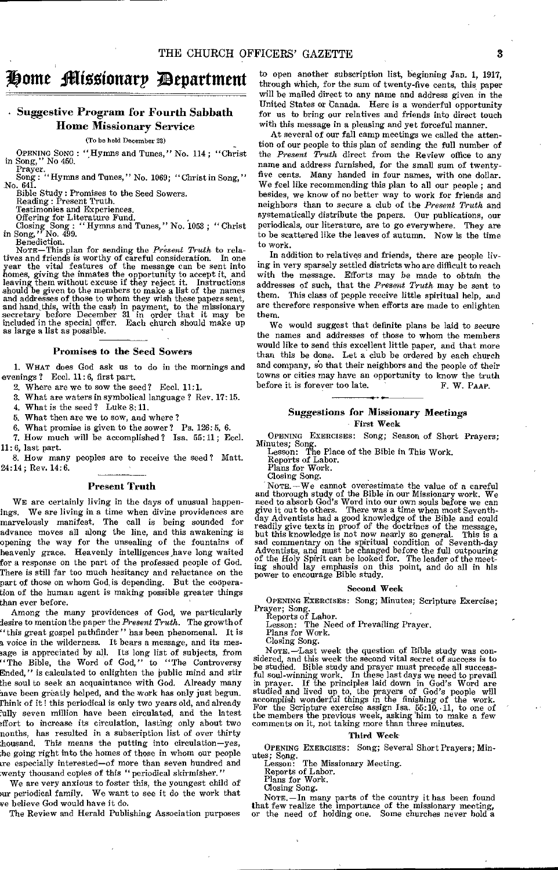## Home Missionary Department

#### . Suggestive Program for Fourth Sabbath Home Missionary Service

#### (To be held December 23)

OPENING SONG : "Hymns and Tunes," No. 114; "Christ in Song," No 450. Prayer.

Song : "Hymns and Tunes, " No. 1069; "Christ in Song,"

No. 641. Bible Study : Promises to the Seed Sowers. Reading : Present Truth.

Testimonies and Experiences.

Offering for Literature Fund.

Closing Song : " Hymns and Tunes," No. 1053 ; "Christ in Song," No. 499.

Benediction. NOTE—This plan for sending the *Present Truth* to relatives and friends is worthy of careful consideration. In one tives and friends is worthy of careful consideration. In one year the vital features of the message can be sent into homes, giving the inmates the opportunity to accept it, and leaving them without excuse if they reject it. Instructions should be given to the members to make a list of the names and addresses of those to whom they wish these papers sent, and hand this, with the cash in payment, to the missionary secretary before December 31 in order that it may be included in the special offer. Each church should make up as large a list as possible.

#### Promises to the Seed Sowers

1. WHAT does God ask us to do in the mornings and evenings ? Eccl. 11: 6, first part.

2. Where are we to sow the seed? Eccl. 11:1.

- 3. What are waters in symbolical language ? Rev. 17:15.
- 4. What is the seed ? Luke 8: 11.
- 5. What then are we to sow, and where ?
- 6. What promise is given to the sower? Ps. 126:5, 6.

7. How much will be accomplished? Isa. 55: 11 ; Bed. 11:6, last part.

8. How many peoples are to receive the seed? Matt. 24:14 ; Rev. 14:6.

#### Present Truth

WE are certainly living in the days of unusual happenings. We are living in a time when divine providences are marvelously manifest. The call is being sounded for advance moves all along the line, and this awakening is opening the way for the unsealing of the fountains of heavenly grace. Heavenly intelligences have long waited for a response on the part of the professed people of God. There is still far too much hesitancy and reluctance on the part of those on whom God, is depending. But the cooperation of the human agent is making possible greater things than ever before.

Among the many providences of God, we particularly lesire to mention the paper the *Present Truth.* The growth of "this great gospel pathfinder" has been phenomenal. It is z voice in the wilderness. It bears a message, and its message is appreciated by all. Its long list of subjects, from "The Bible, the Word of God," to "The Controversy Ended," is calculated to enlighten the public mind and stir the soul to seek an acquaintance with God. Already many have been greatly helped, and the work has only just begun. Chink of it ! this periodical is only two years old, and already ully seven million have been circulated, and the latest sffort to increase its circulation, lasting only about two nonths, has resulted in a subscription list of over thirty ,housand. This means the putting into circulation—yes, the going right into the homes of those in whom our people tre especially interested—of more than seven hundred and wenty thousand copies of this "periodical skirmisher."

We are very anxious to foster this, the youngest child of our periodical family. We want to see it do the work that ve believe God would have it do.

The Review and Herald Publishing Association purposes

to open another subscription list, beginning Jan. 1, 1917, through which, for the sum of twenty-five cents, this paper will be mailed direct to any name and address given in the United States or Canada. Here is a wonderful opportunity for us to bring our relatives and friends into direct touch with this message in a pleasing and yet forceful manner.

At several of our fall camp meetings we called the attention of our people to this plan of sending the full number of the *Present Truth* direct from the Review office to any name and address furnished, for the small sum of twentyfive cents. Many handed in four names, with one dollar. We feel like recommending this plan to all our people ; and besides, we know of no better way to work for friends and neighbors than to secure a club of the *Present Truth* and systematically distribute the papers. Our publications, our periodicals, our literature, are to go everywhere. They are to be scattered like the leaves of autumn. Now is the time to work.

In addition to relatives and friends, there are people living in very sparsely settled districts who are difficult to reach with the message. Efforts may be made to obtain the addresses of such, that the *Present Truth* may be sent to them. This class of people receive little spiritual help, and are therefore responsive when efforts are made to enlighten them.

We would suggest that definite plans be laid to secure the names and addresses of those to whom the members would like to send this excellent little paper, and that more than this be done. Let a club be ordered by each church and company, so that their neighbors and the people of their towns or cities may have an opportunity to know the truth before it is forever too late. F. W. PAAP. •

#### Suggestions for Missionary Meetings First Week

OPENING EXERCISES: Song; Season of Short Prayers;

Minutes; Song. Lesson: The Place of the Bible in This Work.

Reports of Labor. Plans for Work.

Closing Song.<br>Nore. -- We cannot overestimate the value of a careful Nore. --We cannot overestimate the value of a careful<br>and thorough study of the Bible in our Missionary work. We<br>need to absorb God's Word into our own souls before we can<br>give it out to others. There was a time when most Adventists, and must be changed before the full outpouring of the Holy Spirit can be looked for. The leader of the meet-ing should lay emphasis on this point, and do all in his power to encourage Bible study.

#### Second Week

OPENING EXERCISES: Song; Minutes; Scripture Exercise; Prayer; Song. Reports of Labor. Lesson: The Need of Prevailing Prayer. Plans for Work.

Closing Song.

NOTE.—Last week the question of Bible study was considered, and this week the second vital secret of success is to be studied. Bible study and prayer must precede all success-ful soul-winning work. In these last days we need to prevail in prayer. If the principles laid down in God's Word are studied and lived up to, the prayers of God's people will accomplish wonderful things in the finishing of the work. For the Scripture exercise assign Isa. 55:10, 11, to one of the members the previous week, asking 'him to make a few comments on it, not taking more than three minutes.

#### Third Week

OPENING EXERCISES: Song; Several Short Prayers; Minutes; Song. Lesson: The Missionary Meeting.

Reports of Labor.

Plans for Work.

Closing Song.

Nor E—In many parts of the country it has been found that few realize the importance of the missionary meeting, or the need of holding one. Some churches never hold a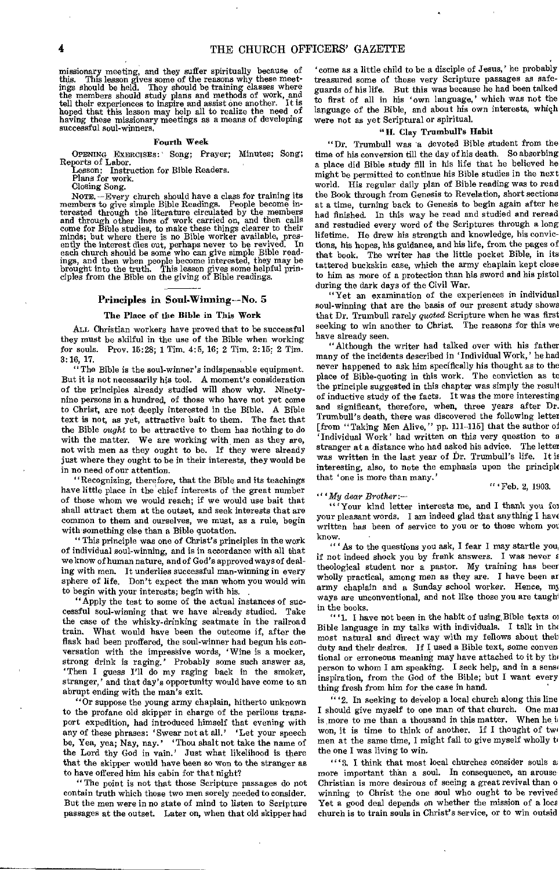missionary meeting, and they suffer spiritually because of this. This lesson gives some of the reasons why these meet-ings should be held. They should be training classes where the members should study plans and methods of work, and tell their experiences to inspire and assist one another. It is hoped that this lesson may help all to realize the need of having these missionary meetings as a means of developing successful soul-winners.

#### Fourth Week

OPENING EXERCISES: Song; Prayer; Minutes; Song; Reports of Labor.

Lesson: Instruction for Bible Readers. Plans for work.

Closing Song.

NOTE. —Every church should have a class for training its members to give simple Bible Readings. People become in-terested through the literature circulated by the members and through other lines of work carried on, and then calls<br>come for Bible studies, to make these things clearer to their<br>minds; but where there is no Bible worker available, pres-<br>ently the interest dies out, perhaps never

#### Principles in Soul-Winning—No. 5

#### The Place of the Bible in This Work

ALL Christian workers have proved that to be successful they must be skilful in the use of the Bible when working for souls. Prov. 16:28; 1 Tim. 4:5, 16; 2 Tim. 2:15; 2 Tim. 3:16, 17.

"The Bible is the soul-winner's indispensable equipment. But it is not necessarily his tool. A moment's consideration of the principles already studied will show why. Ninetynine persona in a hundred, of those who have not yet come to Christ, are not deeply interested in the Bible. A Bible text is not, as yet, attractive bait to them. The fact that the Bible *ought* to be attractive to them has nothing to do with the matter. We are working with men as they are, not with men as they ought to be. If they were already just where they ought to be in their interests, they would be in no need of our attention.

"Recognizing, therefore, that the Bible and its teachings have little place in the chief interests of the great number of those whom we would reach; if we would use bait that shall attract them at the outset, and seek interests that are common to them and ourselves, we must, as a rule, begin with something else than a Bible quotation.

" This principle was one of Christ's principles in the work of individual soul-winning, and is in accordance with all that we know of human nature, and of God's approved ways of dealing with men. It underlies successful man-winning in every sphere of life. Don't expect the man whom you would win to begin with your interests; begin with his.

"Apply the test to some of the actual instances of successful soul-winning that we have already studied. Take the case of the whisky-drinking seatmate in the railroad train, What would have been the outcome if, after the flask had been proffered, the soul-winner had begun his conversation with the impressive words, 'Wine is a mocker, strong drink is raging.' Probably some such answer as, 'Then I guess I'll do my raging back in the smoker, stranger,' and that day's opportunity would have come to an abrupt ending with the man's exit

"Or suppose the young army chaplain, hitherto unknown to the profane old skipper in charge of the perilous transport expedition, had introduced himself that evening with any of these phrases: 'Swear not at all.' 'Let your speech be, Yea, yea; Nay, nay.' Thou shalt not take the name of the Lord thy God in vain.' Just what likelihood is there that the skipper would have been so won to the stranger as to have offered him his cabin for that night?

"The point is not that those Scripture passages do not contain truth which those two men sorely needed to consider. But the men were in no state of mind to listen to Scripture passages at the outset. Later on, when that old skipper had

'come as a little child to be a disciple of Jesus,' he probably treasured some of those very Scripture passages as safeguards of his life. But this was because he had been talked to first of all in his 'own language,' which was not the language of the Bible, and about his own interests, which were not as yet Scriptural or spiritual.

#### "H. Clay Trumbull's Habit

"Dr. Trumbull was a devoted Bible student from the time of his conversion till the day of his death. So absorbing a place did Bible study fill in his life that he believed he might be permitted to continue his Bible studies in the next world. His regular daily plan of Bible reading was to read the Book through from Genesis to Revelation, short sections at a time, turning back to Genesis to begin again after he had finished. In this way he read and studied and reread and restudied every word of the Scriptures through a long lifetime. He drew his strength and knowledge, his convictions, his hopes, his guidance, and his life, from the pages of that book. The writer has the little pocket Bible, in its tattered buckskin case, which the army chaplain kept close to him as more of a protection than his sword and his pistol during the dark days of the Civil War.

"Yet an examination of the experiences in individual soul-winning that are the basis of our present study shows that Dr. Trumbull rarely *quoted* Scripture when he was first seeking to win another to Christ. The reasons for this we have already seen.

"Although the writer had talked over with his father many of the incidents described in 'Individual Work,' he had never happened to ask him specifically his thought as to the place of Bible-quoting in this work. The conviction as to the principle suggested in this chapter was simply the result of inductive study of the facts. It was the more interesting and significant, therefore, when, three years after Dr. Trumbull's death, there was discovered the following letter [from "Taking Men Alive," pp. 111-115] that the author of 'Individual Work' had written on this very question to a stranger at a distance who had asked his advice. The letter was written in the last year of Dr. Trumbull's life. It is interesting, also, to note the emphasis upon the principle that 'one is more than many.'

" 'Feb. 2, 1903.

#### "*'My dear Brother:—*

*"* 'Your kind letter interests me, and I thank you for your pleasant words. I am indeed glad that anything I have written has been of service to you or to those whom you know.

" As to the questions you ask, I fear I may startle you, if not indeed shock you by frank answers. I was never <sup>E</sup> theological student nor a pastor. My training has beer wholly practical, among men as they are. I have been ar army chaplain and a Sunday school worker. Hence, my ways are unconventional, and not like those you are taught in the books.

"'1. I have not been in the habit of using,Bible texts <sup>01</sup> Bible language in my talks with individuals. I talk in the most natural and direct way with my fellows about their duty and their desires. If I used a Bible text, some conven tional or erroneous meaning may have attached to it by the person to whom I am speaking. I seek help, and in a sensi inspiration, from the God of the Bible; but I want every thing fresh from him for the case in hand.

" '2. In seeking to develop a local church along this line I should give myself to one man of that church. One man is, more to me than a thousand in this matter. When he won, it is time to think of another. If I thought of tw' men at the same time, I might fail to give myself wholly ti the one I was living to win.

"' 3. I think that most local churches consider souls a more important than a soul. In consequence, an arouse Christian is more desirous of seeing a great revival than o winning to Christ the one soul who ought to be revived Yet a good deal depends on whether the mission of a locs church is to train souls in Christ's service, or to win outsid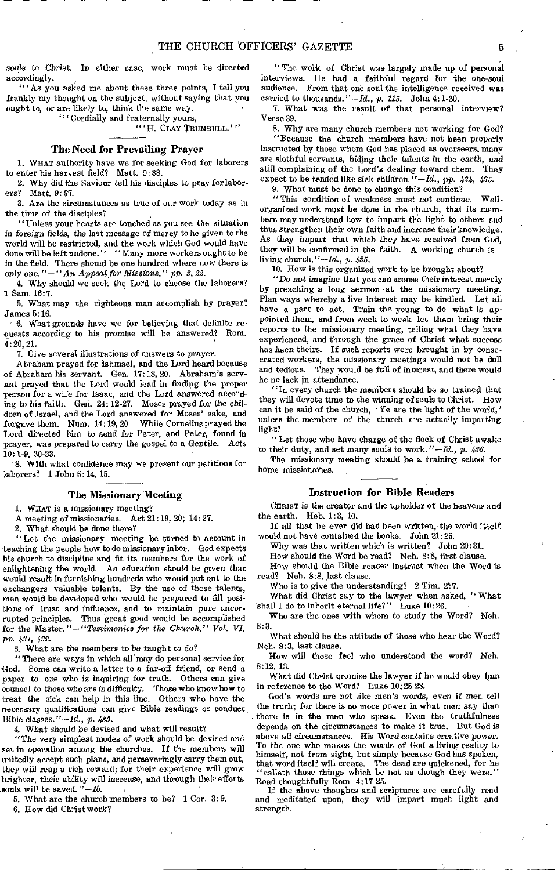souls to *Christ.* In either case, work must be directed accordingly.

"'As you asked me about these three points, I tell you frankly my thought on the subject, without saying that you ought to, or are likely to, think the same way.

"' Cordially and fraternally yours,

#### " 'H. CLAY TRUMBULL.'"

#### The Need for Prevailing Prayer

1. WHAT authority have we for seeking God for laborers to enter his harvest field? Matt. 9:38.

2. Why did the Saviour tell his disciples to pray for laborers? Matt. 9:37.

3. Are the circumstances as true of our work today as in the time of the disciples?

"Unless your hearts are touched as you see the situation in foreign fields, the last message of mercy to he given to the world will be restricted, and the work which God would have done will be left undone." " Many more workers ought to be in the field. There should be one hundred where now there is only one. "- *"An Appeal for Missions," pp. 3, 22.* 

4. Why should we seek the Lord to choose the laborers? 1 Sam. 16:7.

5. What may the righteous man accomplish by prayer? James 5:16.

6. What grounds have we for believing that definite requests according to his promise will be answered? Rom. 4: 20, 21.

7. Give several illustrations of answers to prayer.

Abraham prayed for Ishmael, and the Lord heard because of Abraham his servant. Gen. 17: 18, 20. Abraham's servant prayed that the Lord would lead in finding the proper person for a wife for Isaac, and the Lord answered according to his faith. Geri. 24: 12-27. Moses prayed for the children of Israel, and the Lord answered for Moses' sake, and forgave them. Num. 14:19, 20. While Cornelius prayed the Lord directed him to send for Peter, and Peter, found in prayer, was prepared to carry the gospel to a Gentile. Acts 10:1-9, 30-33.

8. With what confidence may we present our petitions for laborers? 1 John 5:14, 15.

#### The Missionary Meeting

1. WHAT is a missionary meeting?

A meeting of missionaries. Act 21:19, 20; 14: 27.

2. What should be done there?

"Let the missionary meeting be turned to account in -teaching the people how to do missionary labor. God expects his church to discipline and fit its members for the work of enlightening the world. An education should be given that would result in furnishing hundreds who would put out to the exchangers valuable talents. By the use of these talents, men would be developed who would he prepared to fill positions of trust and influence, and to maintain pure uncorrupted principles. Thus great good would be accomplished for the Master. *"-"Testimonies for the Church," Vol. VI, pp. 481, 432.* 

3. What are the members to be *taught* to do?

"There are ways in which all'may do personal service for God. Some can write a letter to a far-off friend, or send a paper to one who is inquiring for truth. Others can give counsel to those who are *in* difficulty. Those who know how to treat the sick can help in this line. Others who have the necessary qualifications can give Bible readings or conduct Bible classes."-Id., *p. 433.* 

4. What should be devised and what will result?

"The very simplest modes of work should be devised and set in operation among the churches. If the members will unitedly accept such plans, and perseveringly carry them out, they will reap a rich reward; for their experience will grow brighter, their ability will increase, and through their efforts souls will be saved." $-Ib$ .

5. What are the church'members to be? 1 Cor. 3:9.

6. How did Christ work?

"The work of Christ was largely made up of personal interviews. He had a faithful regard for the one-soul audience. From that one soul the intelligence received was carried to thousands. *"-Id., p. 115.* John 4:1-30.

7. What was the result of that personal interview? Verse 39.

8. Why are many church members not working for God? "Because the church members have not been properly instructed by those whom God has placed as overseers, many are slothful servants, hiding their talents in the earth, and still complaining of the Lord's dealing toward them. They expect to be tended like sick children. *"-Id., pp. 434, 435.*  9. What must be done to change this condition?

"This condition of weakness must not *continue.* Wellorganized work must be done in the church, that its members may understand how to impart the light to others and thus strengthen their own faith and increase their knowledge. As they impart that *which they have* received from God, they will be confirmed in the faith. A working church is living church."-Id., *p. 435.* 

10. How is this organized work to be brought about?

"Do *not imagine* that you can arouse their interest merely by preaching a long sermon -at the missionary meeting. Plan ways whereby a live interest may be kindled. Let all have a part to act. Train the young to do what is appointed them, and from week to week let them bring their reports to the missionary meeting, telling what they have experienced, and through the grace of Christ what success has heen theirs. If such reports were brought in by consecrated workers, the missionary meetings would not be dull and tedious. They would be full of interest, and there would be no lack in attendance.

"In every church the members should be so trained that they will devote time to the winning of souls to Christ. How can it be said of the church, Ye are the light of the world,' unless the members of the church are actually imparting light?

" Let those who have charge of the flock of Christ awake to their duty, and set many souls to work. *"-Id., p. 436.* 

The missionary meeting should be a training school for home missionaries.

#### Instruction for Bible Readers

CHRIST is the creator and the upholder of the heavens and the earth. Heb. 1:3, 10.

If all that he ever did had been written, the world itself would not have contained the books. John 21:25.

Why was that written which is written? John 20:31.

How should the Word be read? Neh. 8:8, first clause.

How should the Bible reader instruct when the Word is read? Neh. 8:8, last clause.

Who is to give the understanding?  $2$  Tim.  $2$  ?..

What did Christ say to the lawyer when asked, "What 'shall I do to inherit eternal life?" Luke 10:26.

Who are the ones with whom to study the Word? Neh. 8:3.

What should be the attitude of those who hear the Word? Neh. 8:3, last clause.

How will those feel who understand the word? Neh. 8:12, 13.

What did Christ promise the lawyer if he would obey him in reference to the Word? Luke 10:25-28.

God's words are not like men's words, *even if* men tell the truth; for there is no more power in what men say than there is in the men who speak. Even the truthfulness depends on the circumstances to make it true. But God is above all circumstances. *His* Word *contains creative* power. To the one who makes the words of God a living reality to himself, not from sight, but simply because God has spoken, that word itself will create. The dead are quickened, for he calleth those things which be not as though they were." Read thoughtfully Rom. 4:17-25.

If the above thoughts and scriptures are carefully read and meditated upon, they will impart much light and strength.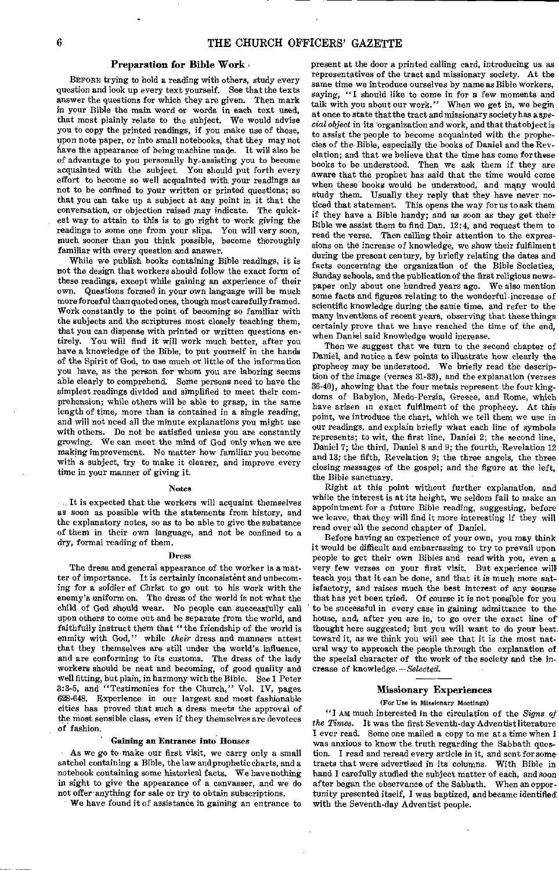#### Preparation for Bible Work

BEFORE trying to hold a reading with others, study every question and look up every text yourself. See that the texts answer the questions for which they are given. Then mark in your Bible the main word or words in each text used, that most plainly relate to the subject. We would advise you to copy the printed readings, if you make use of these, upon note paper, or into small notebooks, that they may not have the appearance of being machine made. It will also be of advantage to you personally by. assisting you to become acquainted with the subject. You should put forth every effort to become so well acquainted with your readings as not to be confined to your written or printed questions; so that you can take up a subject at any point in it that the conversation, or objection raised may indicate. The quickest way to attain to this is to go right to work giving the readings to some one from your slips. You will very soon, much sooner than you think possible, become thoroughly familiar with every question and answer.

While we publish books containing Bible readings, it is not the design that workers should follow the exact form of these readings, except while gaining an experience of their own. Questions formed in your own language will be much more forceful than quoted ones, though most carefully framed. Work constantly to the point of becoming so familiar with the subjects and the scriptures most closely teaching them, that you can dispense with printed or written questions entirely. You will find it will work much better, after you have a knowledge of the Bible, to put yourself in the hands of the Spirit of God, to use much or little of the information you have, as the person for whom you are laboring seems able clearly to comprehend. Some persons need to have the simplest readings divided and simplified to meet their comprehension; while others will be able to grasp, in the same length of time, more than is contained in a single reading, and will not need all the minute explanations you might use with others. Do not be satisfied unless you are constantly growing. We can meet the mind of God only when we are making improvement. No matter how familiar you become with a subject, try to make it clearer, and improve every time in your manner of giving it.

#### Notes

It is expected that the workers will acquaint themselves as soon as possible with the statements from history, and the explanatory notes, so as to be able to give the substance of them in their own language, and not be confined to a dry, formal reading of them.

#### Dress

The dress and general appearance of the worker is a matter of importance. It is certainly inconsistent and unbecoming for a soldier of Christ to go out to his work with the enemy's uniform on. The dress of the world is not what the child of God should wear. No people can successfully call upon others to come out and be separate from the world, and faithfully instruct them that "the friendship of the world is enmity with God," while *their* dress and manners attest that they themselves are still under the world's influence, and are conforming to its customs. The dress of the lady workers should be neat and becoming, of good quality and well fitting, but plain, in harmony with the Bible. See 1 Peter 3:3-6, and "Testimonies for the Church," Vol. IV, pages 628-648. Experience in our largest and most fashionable cities has proved that such a dress meets the approval of the most sensible class, even if they themselves are devotees of fashion.

#### Gaining an Entrance into Houses

As we go to make our first visit, we carry only a small satchel containing a Bible, the law and prophetic charts, and a notebook containing some historical facts. We havenothing in sight to give the appearance of a canvasser, and we do not offer anything for sale or try to obtain subscriptions.

We have found it of assistance in gaining an entrance to

present at the door a printed calling card, introducing us as representatives of the tract and missionary society. At the same time we introduce ourselves by name as Bible workers, saying, "I should like to come in for a few moments and talk with you about our work." When we get in, we begin at once to state that the tract and missionary society has *a special object* in its organization and work, and that thatobject is to assist the people to become acquainted with the prophecies of the Bible, especially the books of Daniel and the Revelation; and that we believe that the time has come for these books to be understood. Then we ask them if they are aware that the prophet has said that the time would come when these books would be understood, and many would study them. Usually they reply that they have never noticed that statement. This opens the way for us to ask them if they have a Bible handy; and as soon as they get their Bible we assist them to find Dan. 12:4, and request them to read the verse. Then calling their attention to the expressions on the increase of knowledge, we show their fulfilment during the present century, by briefly relating the dates and facts concerning the organization of the Bible Societies, Sunday schools, and the publication of the first religious newspaper only about one hundred years ago. We also mention some facts and figures relating to the wonderful. increase of scientific knowledge during the same time, and refer to the many inventions of recent years, observing that these things certainly prove that we have reached the time of the end, when Daniel said knowledge would increase.

Then we suggest that we turn to the second chapter of Daniel, and notice a few points to illustrate how clearly the prophecy may be understood. We briefly read the description of the image (verses 31-33), and the explanation (verses 36-40), showing that the four metals represent the four kingdoms of Babylon, Medo-Persia, Greece, and Rome, which have arisen in exact fulfilment of the prophecy. At this point, we introduce the chart, which we tell them we use in our readings, and explain briefly what each line of symbols represents; to wit, the first line, Daniel 2; the second line, Daniel 7; the third, Daniel 8 and 9; the fourth, Revelation 12 and 13; the fifth, Revelation 9; the three angels, the three closing messages of the gospel; and the figure at the left, the Bible sanctuary.

Right at this point without further explanation, and while the interest is at its height, we seldom fail to make an appointment for a future Bible reading, suggesting, before we leave, that they will find it more interesting if they will read over all the second chapter of Daniel.

Before having an experience of your own, you may think it would be difficult and embarrassing to try to prevail upon people to get their own Bibles and read with you, even a very few verses on your first visit. But experience will teach you that it can be done, and that it is much more satisfactory, and raises much the best interest of any oourse that has yet been tried. Of course it is not possible for you to be successful in every case in gaining admittance to the house, and, after you are in; to go over the exact line of thought here suggested; but you will want to do your best toward it, as we think you will see that it is the most natural way to approach the people through the explanation of the special character of the work of the society and the *increase* of knowledge *— Selected.* 

#### Missionary Experiences

#### (For Use in Missionary Meetings)

"I AM much interested in the circulation of the *Signs of the Times.* It was the first Seventh-day Adventist literature I ever read. Some one mailed a copy to me at a time when I was anxious to know the truth regarding the Sabbath question. I read and reread every article in it, and sent for some tracts that were advertised in its columns. With Bible in hand I carefully studied the subject matter of each, and soon after began the observance of the Sabbath. When an opportunity presented itself, I was baptized, and became identified, with the Seventh-day Adventist people.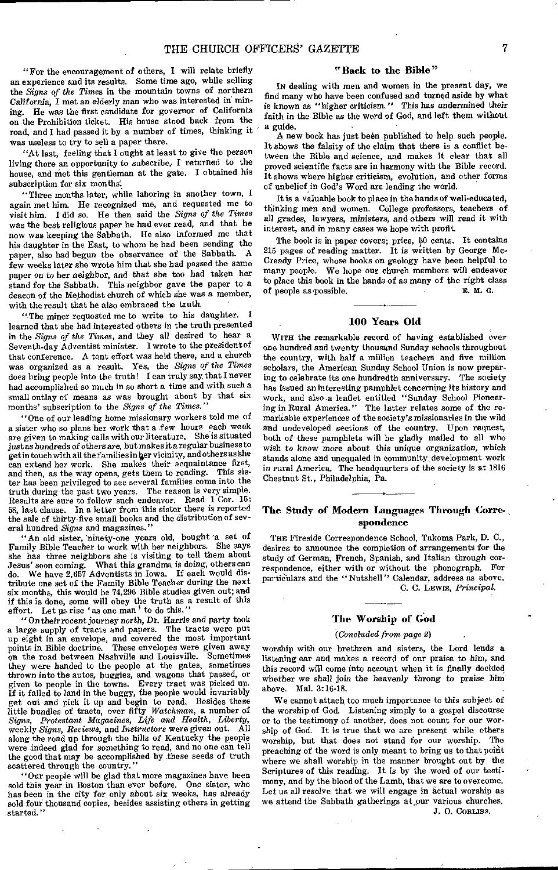"For the encouragement of others, I will relate briefly an experience and its results. Some time ago, while selling the *Signs of the Times* in the mountain towns of northern *California,* I met an elderly man who was interested in mining. He was the first candidate for governor of California on the Prohibition ticket. His house stood back from the road, and I had passed it by a number of times, thinking it Was useless to try to sell a paper there.

"At last, feeling that I ought at least to give the person living there an opportunity to subscribe, I returned to the house, and met this gentleman at the gate. I obtained his subscription for six months',

"Three months later, while laboring in another town, I again met him. He recognized me, and requested me to visit him. I did so. He then said the *Signs of the Times*  was the best religious paper he had ever read, and that he now was keeping the Sabbath. He also informed me that his daughter in the East, to whom he had been sending the paper, also had begun the observance of the Sabbath. A few weeks later she wrote him that she had passed the same paper on to her *neighbor,* and that she too had taken her stand for the Sabbath. This neighbor gave the paper to a deacon of the Methodist church of which she was a member, with the result that he also embraced the truth.

".The miner requested me to write to his daughter. I learned that she had interested others in the truth presented in the *Signs of the Times,* and they all desired to hear a Seventh-day Adventist minister. I wrote to the president of that conference. A tent effort was held there, and a church was organized as a result. Yes, the *Signs of the Times*  does bring people into the truth! I can truly say, that I never had accomplished so much in so short a time and with such a small outlay of means as was brought about by that six months' subscription to the *Signs of the Times."* 

"One of our leading home missionary workers told me of a sister who so plans her work that a few hours each week are given to making calls with our literature, She is situated *just as hundreds of others are, but makes it a regular business to* get in touch with all the families in 4er vicinity, and others as She can extend her work. She makes their acquaintance first, and then, as the way opens, gets them to reading. This sister has been privileged to see several families come into the truth during the past two years. The reason is very simple. Results are sure to follow such endeavor. Read 1 Cor. 15: 58, last clause. In a letter from this sister there is reported the sale of thirty-five small books and the distribution of several hundred *Signs* and magazines."

"An old sister, ninety-one years old, bought a set of Family Bible Teacher to work with her neighbors. She says she has three neighbors she is visiting to tell them about Jesus' soon coming. What this grandma is doing, others can Jesus' soon coming. What this grandma is *doing,* others can do. We have 2,667 Adventists in Iowa. If each would distribute one set of the Family Bible Teacher during the next six months, this would be 74,296 Bible studies given out; and if this is done, some will obey the truth as a result of this effort. Let us rise 'as one man' to do this."

"On theirrecent journey north, Dr. *Harris and party* took a large supply of tracts and papers. The tracts were put up eight in an envelope, and covered the most important points in Bible doctrine. These envelopes were given away points in Bible doctrine. These envelopes were given away<br>on the road between Nashville and Louisville. Sometimes they were handed to the people at the gates, sometimes thrown into the autos, buggies, and wagons that passed, or given to people in the towns. Every tract was picked up. If it failed to land in the buggy, the people would invariably get out and pick it up and begin to read. Besides these little bundles of tracts, over fifty *Watchman, a* number of *Signs, Protestant Magazines, Life and Health, Liberty,*  weekly *Signs, Reviews,* and *Instructors* were given out. All along the road up through the hills of Kentucky the people were indeed glad for something to read, and no one can tell the good that may be accomplished by these seeds of truth scattered through the country.'

"Our people will be glad that more magazines have been sold this year in Boston than ever before. One sister, who has been in the city for only about six weeks, has already sold four thousand copies, besides assisting others in getting started."

#### "Back to the Bible"

IN dealing with men and women in the present day, we find many who have been confused and turned aside by what is known as "higher criticism." This has undermined their faith in the Bible as the word of God, and left them without a guide.

A new book has just been published to help such people. It shows the falsity of the claim that there is a conflict between the Bible and science, and makes it clear that all proved scientific facts are in harmony with the Bible record. It shows where higher criticism, evolution, and other forms of unbelief in God's Word are leading the world.

It is a valuable book to place in the hands of well-educated, thinking men and women. College professors, teachers of all *grades, lawyers, ministers, and* others will read it with interest, and in many cases we hope with profit.

The book is in paper covers; price, 50 cents. It contains 215 pages of reading matter. It is written by George Mc-Cready Price, whose books on geology have been helpful to many people. We hope our church members will endeavor to place this book in the hands of as many of the right class of neonle as possible. of people as possible.

#### 100 Years Old

WITH the remarkable record of having established over one hundred and twenty thousand Sunday schools throughout the country, with half a million teachers and five million scholars, the American Sunday School Union is now preparing to celebrate its one hundredth anniversary. The society has issued an interesting pamphlet concerning its history and work, and also a leaflet entitled "Sunday School Pioneering in Rural America." The latter relates some of the remarkable experiences of the society's missionaries in the wild and undeveloped sections of the country. Upon request, both of these pamphlets will be gladly mailed to all who wish to *know more* about this *unique* organization, which stands alone and unequaled in community, development work in rural America. The headquarters of the society is at 1816 Chestnut St., Philadelphia, Pa.

#### The Study of Modern Languages Through Correspondence

THE Fireside Correspondence School, Takoma Park, D. C., desires to announce the completion of arrangements for the study of German, French, Spanish, and Italian through correspondence, either with or without the phonograph. For particulars and the "Nutshell" Calendar, address as above. C. C. LEWIS, *Principal.* 

#### The Worship of God

#### *(Concluded from page 2)*

worship with our brethren and sisters, the Lord lends a listening ear and makes a record of our praise to him, and this record will come into account when it is finally decided *whether we shall join the heavenly throng to praise* him above. Mal. 3:16-18.

We cannot attach too much importance to this subject of the worship of God. Listening simply to a gospel discourse or to the testimony of another, does not count for our worship of God. It is true that we are present while others worship, but that does not stand for our worship. The preaching of the word is only meant to bring us to that point where we shall worship in the manner brought out by the Scriptures of this reading. It is by the word of our testimony, and by the blood of the Lamb, that we are to overcome. Let us all resolve that we will *engage* in actual worship as we attend the Sabbath gatherings at .our various churches.

J. 0. CORLISS.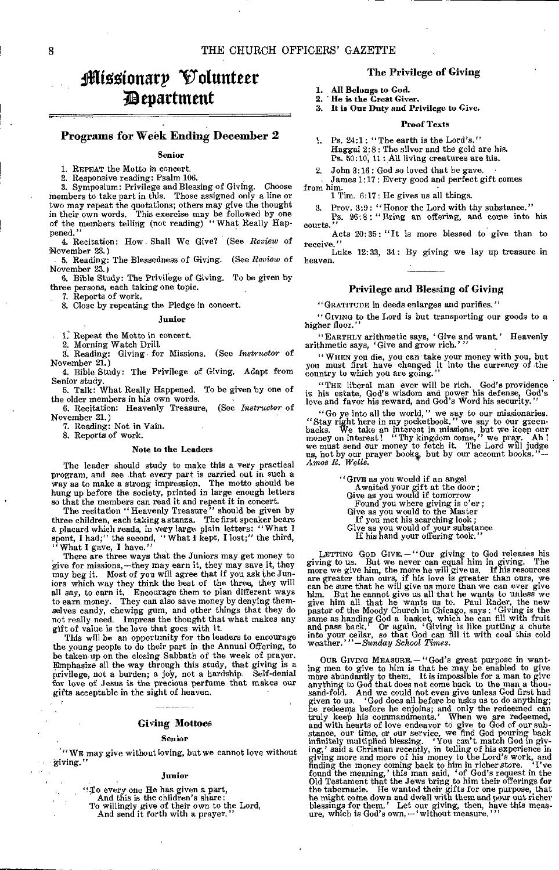## 1111114tifonarp Volunteer **Department**

#### Programs for Week Ending December 2

#### Senior

1. REPEAT the Motto in concert.

2. Responsive reading: Psalm 106.

3. Symposium: Privilege and Blessing of Giving. Choose members to take part in this. Those assigned only a line or two may repeat the quotations; others may give the thought in their own words. This exercise may be followed by one of the members telling (not reading) "What Really Happened.

4. Recitation: How. Shall We Give? (See *Review* of November 23.)

5. Reading: The Blessedness of Giving. (See *Review* of November 23.)

6. Bible Study: The Privilege of Giving. To be given by three persons, each taking one topic.

7. Reports of work,

8. Close by repeating the Pledge in concert.

#### Junior

1: Repeat the Motto in concert.

2. Morning Watch Drill. 3. Reading: Giving for Missions. (See *Instructor* of November 21.)

4. Bible Study: The Privilege of Giving. Adapt from Senior study.

6. Talk: What Really Happened. To be given by one of the older members in his own words.

6. Recitation: Heavenly Treasure, (See *Instructor* of November 21.)

7. Reading: Not in Vain.

8. Reports of work.

#### Note to the Leaders

The leader should study to make this a very practical program, and see that every part is carried out in such a *way as* to make a strong impression. The motto should be hung up before the society, printed in large enough letters so that the members can read it and repeat it in concert.

The recitation "Heavenly Treasure" should be given by three children, each taking a stanza. The first speaker bears a placard which reads, in very large plain letters: "What I spent, I had:" the second, " What I kept, I lost;" the third,  $\cdot$  What I gave, I have."

What I gave, I have."<br>There are three ways that the Juniors may get money to give for missions, —they may earn it, they may save it, they may beg it. Most of you will agree that if you ask the Juniors which way they think the best of the three, they will all *say,* to earn it. Encourage them to plan different ways to earn money. They can also save money by denying themselves candy, chewing gum, and other things that they do not really need. Impress the thought that what makes any gift of value is the love that goes with it.

This will be an opportunity for the leaders to encourage the young people to do their part in the Annual Offering, to be taken up on the closing Sabbath of the week of prayer. Emphasize all the way through this study, that giving is a privilege, not a burden; a joy, not a hardship. Self-denial for love of Jesus is the precious perfume that makes our gifts acceptable in the sight of heaven.

#### Giving Mottoes

#### Senior

 $'$ " WE may give without loving, but we cannot love without giving."

#### Junior

"To every one He has given a part,

 $\ddot{\phantom{a}}$ 

- And this is the children's share:
- To willingly give of their own to the Lord, And send it forth with a prayer."

### The Privilege of Giving

- 1. All Belongs to God.<br>2. He is the Great Give
- 2. He is the Great Giver.<br>3. It is Our Duty and Pr
- It is Our Duty and Privilege to Give.

#### Proof Texts

1. Ps. 24:1: "The earth is the Lord's." Haggai 2:8: The silver and the gold are his. Ps.  $50:10$ ,  $11:$  All living creatures are his.

2. John 3:16: God so loved that he gave.

James 1:17: Every good and perfect gift comes from him.<br>1 Tim. 6:17: He gives us all things.

3. Prov. 3:9: "Honor the Lord with thy substance."

Ps. 96:8: " Bring an offering, and come into his courts."

Acts 20: 35 : "It is more blessed to give than to receive."

Luke 12:33, 34: By giving we lay up treasure in heaven.

#### Privilege and Blessing of Giving

"GRATITUDE in deeds enlarges and purifies."

"GIVING to the Lord is but transporting our goods to a higher floor.

"EARTHLY arithmetic says, Give and want.' Heavenly arithmetic says, ' Give and grow rich.' "

" WHEN you die, you can take your money with you, but you must first have changed it into the currency of the country to which you are going."

"THE liberal man ever will be rich. God's providence is his estate, God's wisdom and power his defense, God's love and favor his reward, and God's Word his security."

"Go ye into all the world," we say to our missionaries. "Stay right here in my pocketbook," we say to our green-backs. We take an interest in missions, but we keep our money on interest! "Thy kingdom come," we pray. Ah ! we must send our money to fetch it. The Lord will judge us, not by our prayer book, but by our account books.' *— Amos R. Wells.* 

> "GIVE as you would if an angel Awaited your gift at the door; Give as you would if tomorrow Found you where giving is o'er ; Give as you would to the Master If you met his searching look ; Give as you would of your substance If his hand your offering took."

LETTING GOD GIVE. - "Our giving to God releases his<br>giving to us. But we never can equal him in giving. The<br>more we give him, the more he will give us. If his resources<br>are greater than ours, if his love is greater than ou weather.' *"—Sunday School Times.* 

OUR GIVING MEASURE. — "God's great purpose in want-<br>ing men to give to him is that he may be enabled to give<br>more abundantly to them. It is impossible for a man to give anything to God that does not come back to the man a thousand-fold. And we could not even give unless God first had given to us. 'God does all before he asks us to do anything; he redeems before he enjoins; and only the re truly keep his commandments.' When we are redeemed,<br>and with hearts of love endeavor to give to God of our sub-<br>stance, our time, or our service, we find God pouring back<br>infinitely multiplied bessing. 'You can't match God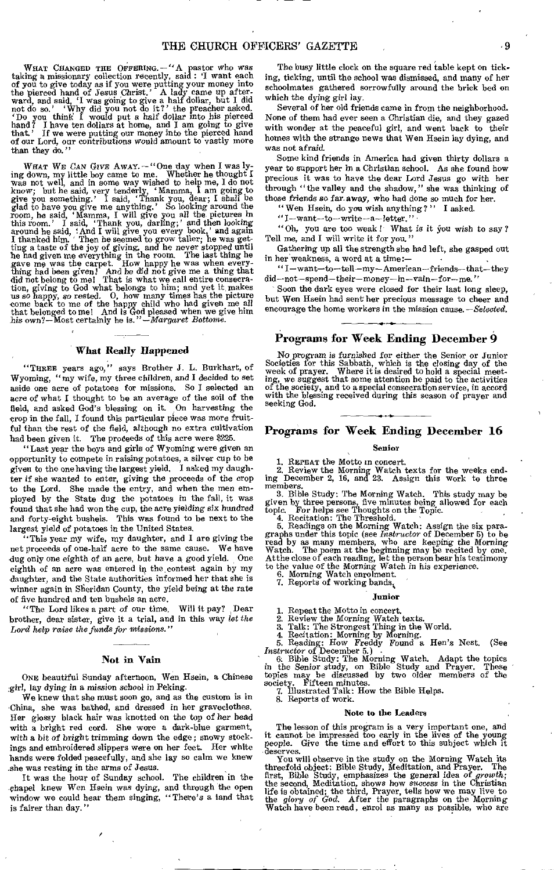WHAT CHANGED THE OFFERING. —"A pastor who *was*  taking a missionary collection recently, said : 'I want each of you to give today as if you were putting your money into the pierced hand of Jesus Christ.' A lady came up afterward, and said, 'I was going to give a half dollar, but I did not do so.' 'Why did you not do it?' the preacher asked.<br>'Do you think' I would put a half dollar into his pierced hand?' I have ten dollars at home, and I am g that ' If we were putting our money into the pierced hand of our Lord, our contributions would amount to vastly more than they do."

WHAT WE CAN GIVE AWAY. -- "One day when I was lying down, my little boy came to me. Whether he thought I was not well, and in some way wished to help me, I do not know; but he said, very tenderly, 'Aamma, I am going to giv room, he said, ' Mamma, I will give you all the pictures in this room.' I said, 'Thank you, darling;' and then looking around he said, 'And I will give you every book,' and again<br>I thanked him.' Then he seemed to grow taller; he was getting a taste of the joy of giving, and he never stopped until<br>the had given me everything in the room. Th thing had been given? And he did not give me a thing that did not belong to me! That is what we call entire consecration, giving to God what belongs to him; and yet it makes us so happy, so rested. O, how many times has the picture come back to me of the happy child who had given me all that belonged to me! And is God pleased when we give him his own?—Most certainly he is."—*Margaret Bottome*.

#### What Really Happened

"THREE years ago," says Brother J. L. Burkhart, of Wyoming, "my wife, my three children, *and* I decided to set aside one acre of potatoes for missions. So I selected an acre of what I thought to be an average of the soil of the field, and asked God's blessing on it. On harvesting the cop in the fall, I found this particular piece was more fruitful than the rest of the field, although no extra cultivation had been given it. The proceeds of this acre were \$225.

"Last year the boys and girls of Wyoming were given an opportunity to compete in raising potatoes, a silver cup to be given to the one having the largest yield. I asked my daughter if she *wanted* to enter, giving the proceeds of the crop to the Lord. She made the entry, and when the men employed by the State dug the potatoes in the fall, it was found that she had won the cup, the acre yielding six hundred and forty-eight bushels. This was found to be next to the *largest* yield of potatoes in the United States,

"This year my wife, my daughter, and I are giving the net proceeds of one-half acre to the same cause. We have •dug only one eighth of an acre, but have *a,* good yield. One eighth of an acre was entered in the, contest again by my daughter, and the State authorities informed her that she is winner again in Sheridan County, the yield being at the rate of five hundred and ten bushels an acre.

"The Lord likes a part of our time, Will it pay? Dear brother, dear sister, give it a trial, and in this way *let the Lord help* raise *the fwnds for missions."* 

#### Not in Vain

ONE beautiful Sunday afternoon, Wen Hsein, a Chinese girl, lay dying in a *mission* school in Peking.

We knew that she must soon go, and as the custom is in -China, she was bathed, and dressed in her graveclothes. Her glossy black hair was knotted on the top of her head with a bright red cord. She wore a dark-blue garment, with a bit *of* bright trimming down the edge ; snowy stockings and embroidered slippers were on her feet. Her white hands were folded peacefully, and she lay so calm we knew she was resting in the arms of *Jesus.* 

It was the hour of Sunday school. The children in the chapel knew Wen Hsein was dying, and through the open window we could hear them singing, "There's a land that is fairer than day."

The busy little clock on the square red table kept on ticking, ticking, until the school was dismissed, and many of her schoolmates gathered sorrowfully around the brick bed on which the dying girl lay.

Several of her old friends came in from the neighborhood. None of them had ever seen a Christian die, and they gazed with wonder at the peaceful girl, and went back to their homes with the strange news that Wen Hsein lay dying, and was not afraid.

Some kind friends in America had given thirty dollars a year to support her in a Christian school. As she found how precious it was to have the dear Lord Jesus go with her through "the valley and the shadow," she was thinking of those friends so far away, who had done so much for her.

" Wen Hsein, do you wish anything?" I asked.

"I—want—to—write—a—letter." •

"Oh, you are too weak! What is it you wish to say? Tell me, and I will write it for you."

Gathering up all the strength she had left, she gasped out in her weakness, a word at a time:

I—want—to—tell—my—American—friends—that—they did—not—spend—their—money—in—vain—for—me."

Soon the dark eyes were closed for their last long sleep, but Wen Hsein had sent her precious message to cheer and encourage the home workers in the mission cause. *—Selected.* 

#### Programs for Week Ending December 9

No program is furnished for either the Senior or Junior Societies for this Sabbath, which is the closing day of the week of prayer. Where it is desired to hold a special meet-<br>ing, we suggest that some attention he paid to seeking God.

#### Programs for Week Ending December 16

#### Senior

1. REPEAT the Motto in concert. 2. Review the Morning Watch texts for the weeks end-ing December 2, 16, and 23. Assign this work to three

members.<br>
3. Bible Study: The Morning Watch. This study may be<br>
given by three persons, five minutes being allowed for each<br>
topic. For helps see Thoughts on the Topic.<br>
4. Recitation: The Threshold.<br>
5. Readings on the Mo to the value of the Morning Watch in *his* experience. 6. Morning Watch enrolment 7. Reports of working bands;

#### Junior

1. Repeat the Motto in concert.

2. Review the Morning Watch texts. 3. Talk: The Strongest Thing in the World.

4. Recitation: Morning by Morning. 5. Reading: How Freddy Found a Hen's Nest. (See

Instructor of December 5.).<br>
6. Bible Study: The Morning Watch. Adapt the topics<br>
in the Senior study, on Bible Study and Prayer. These<br>
topics may be discussed by two older members of the<br>
society. Fifteen minutes. Society. Fifteen minutes.<br>7. Illustrated Talk: How the Bible Helps.

8. Reports of work.

#### Note to the Leaders

The lesson of this program is a very important one, and it cannot be impressed too early in the lives of the young people. Give the time and effort to this subject which it

deserves.<br>You will observe in the study on the Morning Watch its threefold object: Bible Study, Meditation, and Prayer. The first, Bible Study, emphasizes the general idea of growth; the second, Meditation, shows how success in the Christian life is obtained; the third, Prayer, tells ho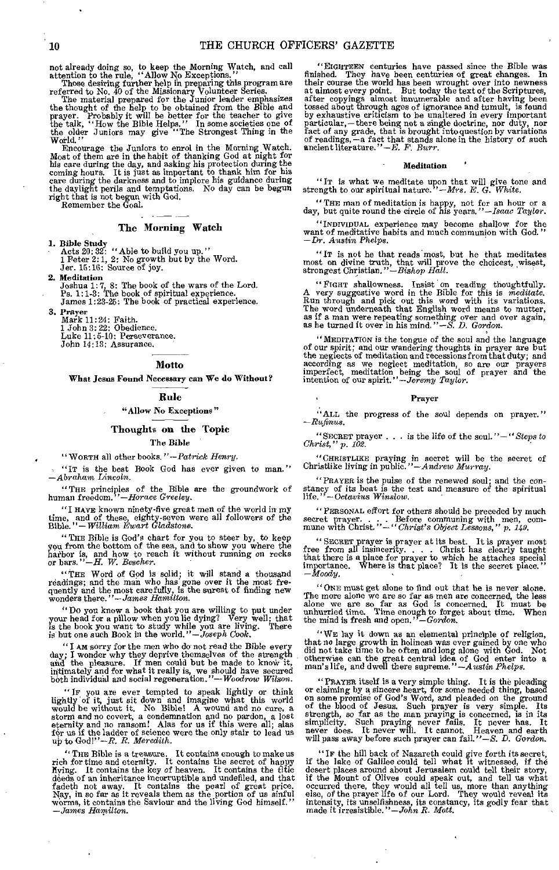not already doing so, to keep the Morning Watch, and call<br>attention to the rule, "Allow No Exceptions."<br>Those desiring further help in preparing this program are<br>referred to No. 40 of the Missionary Volunteer Series.<br>The m

Encourage the Juniors to enrol in the Morning Watch.<br>Most of them are in the habit of thanking God at night for<br>his care during the day, and asking his protection during the<br>coming hours. It is just as important to thank h

Remember the Goal.

#### The Morning Watch

1. Bible Study Acts 20: 32: "Able to build you up." 1 Peter 2:1, 2: No growth but by the Word. Jer. 15:16: Source of joy.

2. Meditation

Joshua 1: 7, 8: The book of the wars of the Lord. Ps. 1:1-3: The book of spiritual experience. James 1:23-26: The book of practical experience.

3. Prayer

Mark 11:24: Faith. 1 John 3: 22: Obedience. Luke 11:5-10: Perseverance.

John 14:13: Assurance.

#### Motto

What Jesus Found Necessary can We do Without?

#### Rule

#### "Allow No Exceptions"

#### Thoughts on the Topic

#### The Bible

" WORTH all other books. *"—Patrick Henry.* 

*"IT* is the best Book God has ever given to man." —Abraham *Lincoln.* 

"THE principles of the Bible are the groundwork of human freedom.' *—Horace Greeley.* 

*"I* HAVE known ninety-five great men of the world in my time, and of these, eighty-seven were all followers of the Bible. "— *William Ewart Gladstone.* 

"THE Bible is God's chart for you to steer by, to keep you from the bottom of the sea, and to show you where the harbor is, and how to reach it without running on rocks or bars. *"—H. W. .Beecher.* 

"THE Word of God is solid; it will stand a thousand readings; and the man who has gone over it the most fre-quently and the most carefully, is the surest of finding new wonders there. *"—James Hamilton.* 

*"Do* you know a book that you are willing to put under your head for a pillow when you lie dying? Very well; that is the book you want to study while you are living. There is but one such Book in the world. *"—Joseph Cook.* 

"I AM sorry for the men who do not read the Bible every<br>day; I wonder why they deprive themselves of the strength<br>and the pleasure. If men could but be made to know it,<br>intimately and for what it really is, we should have both individual and social regeneration."—Woodrow *Wilson.* 

"IF you are ever tempted to speak lightly or think lightly of it, just sit down and imagine what this world<br>would be without it. No Bible! A wound and no cure, a<br>storm and no covert, a condemnation and no pardon, a lost<br>eternity and no ransom! Alas for us if this were all; up to God!"—R. *R. Meredith.* 

"THE Bible is a treasure, It contains enough to make us rich for time and eternity. It contains the secret of happy living. It contains the key of heaven. It contains the title déeds of an inheritance incorruptible and undefiled, and that fadeth not away. It contains the pearl of great price.<br>Nay, in so far as it reveals them as the portion of us sinful worms, it contains the Saviour and the livi *—James Hamilton.* 

"EIGHTEEN centuries have passed since the Bible was finished. They have been centuries of great changes. In their course the world has been wrought over into newness<br>at almost every point. But today the text of the Scriptures,<br>after copyings almost imumerable and after having been<br>tossed about through ages of ignorance and tumul particular, — there being not a single doctrine, nor duty, nor fact of any grade, that is brought into question by variations of readings, —a fact that stands alone in the history of such ancient literature."—E. F. Burr.

#### **Meditation**

"IT is what we meditate upon that will give tone and strength to our spiritual nature."*—Mrs. E. G.* White.

"THE man of meditation is happy, not for an hour or a day, but quite round the circle of his years. *"—Isaac Taylor,* 

"INDIVIDUAL experience may become shallow for the want of meditative habits and much communion with God. " —Dr. Austin *Phelps.* 

"IT is not he that reads most, but he that meditates most on divine truth, that will prove the choicest, wisest, strongest Christian."—*Bishop Hall*.

"FIGHT shallowness. Insist on reading thoughtfully. A very suggestive word in the Bible for this is *meditate.*  Run through and pick out this word with its variations. The word underneath that English word means to mutter, as if a man were repeating something over and over again, as he turned it over in his mind. *"—S. D. Gordon.* 

"MEDITATION is the tongue of the soul and the language of our spirit; and our wandering thoughts in prayer are but the neglects of meditation and recessions from that duty; and according as we neglect meditation, so are our prayers imperfect, meditation being the soul of prayer and the intention of our spirit. *"—Jeremy Taylor.* 

#### Prayer

"ALL the progress of the soul depends on prayer." *—Rufinus,* 

*"SECRET prayer ...* is the life of the soul." — "Steps to Christ," p. 102.

"CHRISTLIKE praying in secret will be the secret of Christlike living in public. *"—Andrew Murray.* 

"PRAYER is the pulse of the renewed soul; and the con-stancy of its beat is the test and measure of the spiritual life."—Octavius *Winslow.* 

"PERSONAL effort for others should be preceded by much secret prayer. . . . . Before communing with men, com-<br>mune with Christ, "— "Christ's Object Lessons," p. 149.

"SECRET prayer is prayer at its best. It is prayer most<br>free from all insincerity.... Christ has clearly taught<br>that there is a place for prayer to which he attaches special<br>importance. Where is that place? It is the secr

"ONE must get alone to find out that he is never alone. The more alone we are so far as men are concerned, the less alone we are so far as God is concerned. It must be unhurried time. Time enough to forget about time. When the mind is fresh and open." *-Gordon*.

"WE lay it down as an elemental principle of religion, that no large growth in holiness was ever gained by one who did not take time to be often and long alone with God. Not otherwise can the great central idea of God ente man's life, and dwell there supreme."—Austin *Phelps.* 

"PRAYER itself is a very simple thing. It is the pleading or claiming by a sincere heart, for some needed thing, based on some promise of God's Word, and pleaded on the ground<br>of the blood of Jesus. Such prayer is very simple. Its<br>strength, so far as the man praying is concerned, is in its<br>simplicity. Such praying never fails. It never has never does. It never will. It cannot. Heaven and earth will pass away before such prayer can fail. *"—S. D. Gordon.* 

"If the hill back of Nazareth could give forth its secret, if the lake of Galilee could tell what it witnessed, if the desert places around about Jerusalem could tell their story, if the Mount of Olives could speak out, a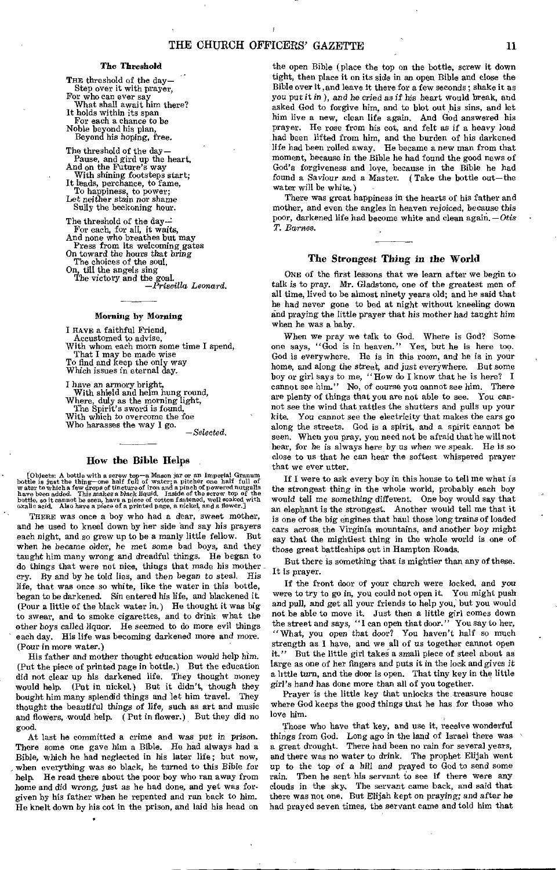#### *The Threshold*

THE threshold of the day-Step over it with prayer, For who can ever say

What shall await him there? It holds within its span

For each a chance to be Noble beyond his plan, Beyond his hoping, free.

The threshold of the day Pause, and gird up the heart, And on the Future's way

With shining footsteps start;<br>It leads, perchance, to fame,

To happiness, to power; Let neither *stain* nor shame Sully the beckoning hour.

The threshold of the day For each, for all, it waits, And none who breathes but may Press from its welcoming gates

On toward the hours that *bring* 

The choices of the soul,

On, till the angels sing

The victory and the goal. *—Priscilla Leonard.* 

#### Morning by Morning

I HAVE a faithful Friend, Accustomed to advise, With whom each morn some time I spend, That I may be made wise To find and keep the only way Which issues in eternal day.

I have an armory bright, With shield and helm hung round, Where, duly as the morning light, The Spirit's sword is found, With which to overcome the foe Who harasses the way I go. *—Selected.* 

#### flow the Bible Helps

[Objects: A bottle with a screw top-a Mason jar or an Imperial Granum bottle is just the thing-one half full of water; a pitcher one half full of water to which a few drops of tincture of iron and a pinch of powered nutgal

THERE was once a boy who had a dear, sweet mother, and he used to kneel down by her side and say his prayers each night, and so grew up to be a manly little fellow. But when he became older, he met some bad boys, and they taught him many wrong and dreadful things. He began to do things that were not nice, things that made his mother \_ cry. By and by he told lies, and then *began* to *steal,* His life, that was once so white, like the water in this bottle, began to be darkened. Sin entered his life, and blackened it. (Pour a little of the black water in.) He thought it was big to swear, and to smoke cigarettes, and to drink what the other boys called liquor. He seemed to do more evil things each day. His life was becoming darkened more and more. (Pour in more water.)

His father and mother thought education would help him. (Put the piece of printed page in bottle.) But the education did not clear up his darkened life. They thought money would help. (Put in nickel.) But it didn't, though they hought him many splendid things and let him travel. They bought him many splendid things and let him travel. thought the beautiful *things* of life, such as art and music and flowers, would help. ( Put in flower.) But they did no good.

At last he committed a crime and was put *in prison.*  There some one gave him a Bible. He had always had a Bible, which he had neglected in his later life; but now, when everything was so black, he turned to this Bible for help. He read there about the poor boy who ran away from home *and did wrong, just* as he had done, and yet was forgiven by his father when he repented and ran back to him. He knelt down by his cot in the prison, and laid his head on

the open Bible (place the top on the bottle, screw it down tight, then place it on its side in an open Bible and close the Bible over it , and leave it there for a few seconds ; shake it as you put *it in ), and* he cried as *if* his heart would break, and asked God to forgive him, and to blot out his sins, and let him live a new, clean life again. And God answered his prayer. He rose from his cot, and felt as if a heavy load had been lifted from him, and the burden of his darkened life had been rolled away. He became a new man from that moment, because in the Bible he had found the good news of God's forgiveness and loye, because in the Bible he had found a Saviour and a Master. ( Take the bottle out—the water will be white.)

There was great happiness in the hearts of his father and mother, and even the angles in heaven rejoiced, because this poor, darkened life had become white and clean again. — *Otis T.* Barnes.

#### The Strongest Thing *in* the World

ONE of the first lessons that we learn after we begin to talk *is* to *pray. Mr.* Gladstone, one of the greatest men of all time, lived to be almost ninety years old; and he said that he had never gone to bed at night without kneeling down and praying the little prayer that his mother had taught him when he was a baby.

When we pray we talk to God. Where is God? Some one says, "God is in heaven." Yes, but he is here too. God is everywhere. He is in this room, and he is in your home, and along the street, and *just everywhere.* But some boy or girl says to me, "How do I know that he is here? I cannot see him." No, of course you oannot see him. There are plenty of things that you are not able to see. You cannot see the wind that rattles the shutters and pulls up your kite. You cannot see the electricity that makes the ears go along the streets. God is a spirit, and a spirit cannot be seen. When you pray, you need not be afraid that he will not hear, for he is always here by us when we speak. He is so close to us that he can hear the softest whispered prayer that we ever utter.

If I were to ask every boy in this house to tell me what is the strongest thing in the whole world, probably each boy would tell me something different One boy would say that an elephant is the strongest. Another would tell me that it is one of the big engines that haul those long trains of loaded ears across the Virginia mountains, and another boy might say that the mightiest thing in the whole world is one of those great battleships out in Hampton Roads.

But there is something that is mightier than any of these. It is prayer.

If the front door of your church were locked, and you were to try to go in, you could not open it. You might push and pull, and get all your friends to help you, but you would not be able to move it. Just then a little girl comes down the street and says, "I can open that door." You say to her, "What, you open that door? You haven't half so much strength as I have, and we all of us together cannot open it." But the little girl takes a small piece of steel about as large as one of her fingers and puts it in the lock and *gives it*  a little turn, and the door is open. That tiny key in the little *girl's* hand has done more than all of you together.

Prayer is the little key that unlocks the treasure house where God keeps the good things that he has for those who love him.

Those who have that key, and use it, receive wonderful things from God. Long ago in the land of Israel there was a great drought. There had been no rain for several years, and there was no water to drink. The prophet Elijah went up to the top of a hill and prayed to God to send some rain. Then he sent his servant to see if there were any clouds in the sky, The servant came back, and said that there was not one. But Elijah kept on praying; and after he had prayed seven times, the servant came and told him that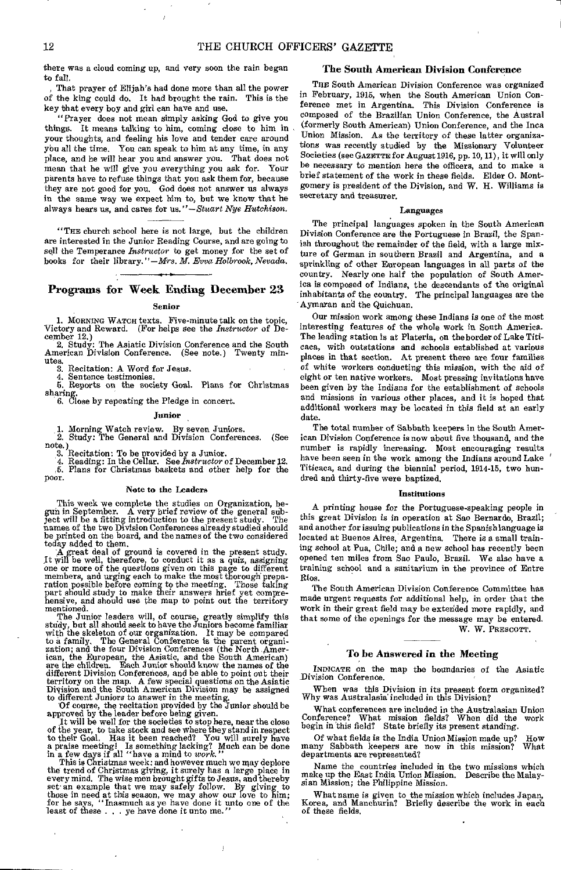there was a cloud coming up, and very soon the rain began to fall.

That prayer of Elijah's had done more than all the power of the king could do. It had brought the rain. This is the key that every boy and girl can have and use.

"Prayer does not mean simply asking God to give you things. It means talking to him, coming close to him in your thoughts, and feeling his love and tender care around ybu all the time. You can speak to him at any time, in any place, and he will hear you and answer you. That does not mean that he will give you everything you ask for. Your parents have to refuse things that you ask them for, because they are not good for you. God does not answer us always in the same way we expect him to, but we know that he always hears us, and cares for us. *"—Stuart Nye Hutchison.* 

"THE church school here is not large, but the children are interested in the Junior Reading Course, and are going to sell the Temperance *Instructor* to get money for the set of books for their library.*"—Mrs. M. Evvcz Holbrook, Nevada.* 

#### Programs for Week Ending December 23

#### Senior

1. MORNING WATCH texts. Five-minute talk on the topic,<br>Victory and Reward. (For helps see the *Instructor* of De-<br>cember 12.)

2. Study: The Asiatic Division Conference and the South American Division Conference. (See note.) Twenty min-American Division Conference. (See note.) Twenty minutes.

3. Recitation: A Word for Jesus.<br>4. Sentence testimonies.

Sentence testimonies.

5. Reports on the society Goal. Plans for Christmas sharing. 6. Close by repeating the Pledge in concert.

#### Junior

1. Morning Watch review. By seven Juniors. 2. Study: The General and Division Conferences. (See note.)<br>
3. Recitation: To be provided by a Junior.<br>
4. Reading: In the Cellar. See *Instructor* of December 12.

5. Plans for Christmas baskets and other help for the poor.

#### Note to the Leaders

This week we complete the studies on Organization, be-gun in September. A very brief review of the general sub-ject will be a fitting introduction to the present study. The names of the two Division Conferences already studied should be printed on the board, and the names of the two considered today added to them.

A great deal of ground is covered in the present study. It will be well, therefore, to conduct it as a quiz, assigning one or more of the questions given on this page to different members, and urging each to make the most thorough preparation possible before coming to the meeting. Those taking part should study to make their answers hrief yet comprehensive, and should use the map to point out the te mentioned.

The Junior lesders will, of course, greatly simplify this<br>study, but all should seek to have the Juniors become familiar<br>with the skeleton of our organization. It may be compared<br>to a family. The General Conference is the different Division Conferences, and be able to point out their territory on the map. A few special questions on the Asiatic Division and the South American Division may be assigned to different Juniors to answer in the meeting.<br>Of course, the recitation provided by the Junior should b

It will be well for the societies to stop here, near the close of the year, to take stock and see where they stand in respect to their Goal. Has it been reached? You will surely have a praise meeting! Is something lacking? Much can be done in a few days if all "have a mind to *work."* 

This is Christmas week; and however much we may deplore the trend of Christmas giving, it surely has a large place in every mind. The wise men brought gifts to Jesus, and thereby<br>set an example that we may safely follow. By giving to<br>those in need at this season, we may show our love to him;<br>for he says, "Inasmuch as ye have done it unto

#### The South American Division Conference

THE South American Division Conference was organized in February, 1915, when the South American Union Conference met in Argentina. This Division Conference is composed of the Brazilian Union Conference, the Austral (formerly South American) Union Conference, and the Inca Union Mission. As the territory of these latter organizations was recently studied by the Missionary Volunteer Societies (see GAZETTE for August 1916, pp. 10, 11), it will only be necessary to mention here the officers, and to make a brief statement of the work in these fields. Elder 0. Montgomery is president of the Division, and W. H. Williams is secretary and treasurer.

#### Languages

The principal languages spoken in the South American Division Conference are the Portuguese in Brazil, the Spanish throughout the remainder of the field, with a large mixture of German in southern Brazil and Argentina, and a sprinkling of other European languages in all parts of the country. Nearly one half the population of South America is composed of Indians, the descendants of the original inhabitants of the country. The principal languages are the Aymaran and the Quichuan.

Our mission work among these Indians is one of the most interesting features of the whole work in South America. The leading station is at Plateria, on the border of Lake Titicaca, with outstations and schools established at various places in that section. At present there are four families of white workers conducting this mission, with the aid of eight or ten native workers. Most pressing invitations have been given by the Indians for the establishment of schools and missions in various other places, and it is hoped that additional workers may be located in this field at an early date.

The total number of Sabbath keepers in the South American Division Conference is now about five thousand, and the number is rapidly increasing. Most encouraging results have been seen in the work among the Indians around Lake Titicaca, and during the biennial period, 1914-15, two hundred and thirty-five were baptized.

#### Institutions

A printing house for the Portuguese-speaking people in this great Division is in operation at Sao Bernardo, Brazil; and another for issuing publications in the Spanish language is located at Buenos Aires, Argentina. There is a small training school at Pua, Chile; and a new school has recently been opened ten miles from Sao Paulo, Brazil. We also have a training school and a sanitarium in the province of Entre Rios.

The South American Division Conference Committee has made urgent requests for additional help, in order that the work in their great field may be extended more rapidly, and that some of the openings for the message may be entered. W. W. PRESCOTT.

#### To be Answered in the Meeting

INDICATE on the map the boundaries of the Asiatic Division Conference.

When was this Division in its present form organized? Why was Australasia' included in this Division?

What conferences are included in the Australasian Union Conference? What mission fields? When did the work begin in this field? State briefly its present standing.

Of what fields is the India Union Mission made up? How many Sabbath keepers are now in this mission? What departments are represented?

Name the countries included in the two missions which make up the East India Union Mission. Describe the Malaysian Mission; the Philippine Mission.

What name is given to the mission which includes Japan, Korea, and Manchuria? Briefly describe the work in each of these fields.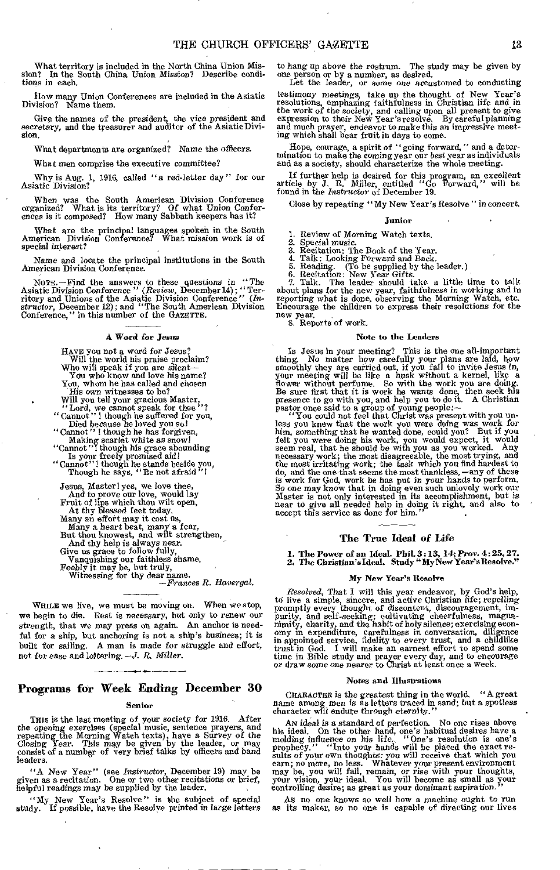What territory is included in the North China Union Mis-sion? In the South China Union *Mission?* Describe conditions in each.

How many Union Conferences are included in the Asiatic Name them.

Give the names of the president, the vice president and secretary, and the treasurer and auditor of the Asiatic Division.

What departments are organized? *Name* the officers.

What men comprise the executive committee?

Why is Aug. 1, 1916, called "a red-letter day" for our *Asiatic* Division?

When was the South American Division Conference organized? What is its territory? Of what *Union* Confer-ences is it composed? How many Sabbath keepers has it?

What are the principal languages spoken in the South American Division Conference? What mission work *is* of special interest?

Name and locate the principal institutions in the South American Division Conference.

NOTE. —Find the answers to these questions in "The Asiatic Division Conference" *(Review,* December 14); "Ter-ritory and Unions of the Asiatic Division Conference" *(Instructor,* December 12); and "The South American Division Conference," in this number of the GAZETTE.

#### A Word *for Jesus*

HAVE you not a word *for* Jesus? Will the world nis praise proclaim? Who will speak if you are silent— You who know and love his name? You, whom he has called and chosen<br>His own witnesses to be?

Will you tell your gracious Master,<br>
"Lord, we cannot speak for thee"?<br>
"Cannot"! though he suffered for you,<br>
Died because he loved you so!<br>
"Cannot"! though he has forgiven,<br>
Making scarlet white as snow!<br>
"Cannot"! thou

Though he says, "Be not afraid"!

Jesus, Master! yes, we love thee, And to prove our love, would lay

Fruit of lips which thou wilt open,

At thy blessed feet today.

Many an effort may it cost us,

Many a heart beat, many a fear, But thou knowest, and wilt strengthen,

And thy help is always near. Give us grace to follow fully,

Vanquishing our faithless shame, Feebly it may be, but truly, Witnessing for thy dear name.

#### *—Frances R. Havergal.*

WHILE we live, we must be moving on. When we stop, we begin to die. Rest is necessary, but only to renew our strength, that we may press on again. An anchor is needful for a ship, but anchoring is not a ship's business; it is built for sailing. A man is made for struggle and effort, not for ease and loitering. *—J. R. Miller.* 

#### Programs fOr Week *Ending* December 30

#### Senior

THIS is the last meeting of your society *for* 1916. After the opening exercises (special music, sentence prayers, and repeating the Morning Watch texts), have a Survey of the Closing Year. This may be given by the leader, or may consist of a number of very brief talks by officers leaders.

"A New Year" (see *Instructor,* December 19) may be given as a recitation. One or two other recitations or brief, helpful *readings* may be supplied by the leader.

"My New Year's Resolve" is the subject of special study. If possible, have the Resolve printed in *large* letters to hang up above the rostrum. The study may be given by one person or by a number, as desired. Let the leader, or some one accustomed to conducting

testimony meetings, take up the thought of New Year's resolutions, emphazing faithfulness in Christian life and *in*  the work of the society, and calling upon all present to give expression to their New Year's resolve, By careful planning and much prayer, endeavor to make this an impressive meeting which shall bear fruit in days to come.

Hope, courage, a spirit of "going forward," and a determination to make the *coming* year our best year as individuals and as a society, should characterize the whole meeting.

If further help is desired for this program, an excellent article by J. R. Miller, entitled "Go Forward," will be found in the *Instructor* of December 19.

Close by repeating "My New Year's Resolve" in concert.

#### Junior

1. Review of Morning Watch texts.<br>2. Special music.

2. Special music.<br>
3. Recitation: The Book of the Year.<br>
4. Talk: Looking Forward and Back.<br>
5. Reading. (To be supplied by the leader.)<br>
6. Recitation: New Year Gifts.<br>
7. Talk. The leader should take a little time to tal reporting what is done, observing the Morning Watch, etc. Encourage the children to express their resolutions *for* the new year. new year.<br>8. Reports of work.

#### Note to the Leaders

Is Jesus in your meeting? This is the one all-important<br>thing. No matter how carefully your plans are laid, how<br>smoothly they are carried out, if you fail to invite Jesus in,<br>your meeting will be like a husk without a kern

pastor once said to a group of young people:--<br>"You could not feel that Christ was present with you un-<br>less you knew that the work you were doing was work for<br>him, something that he wanted done, could you? But if you<br>felt

#### The True Ideal of Life

1. The Power of an Ideal. Phil. 3 : 13, 14; Prov. 4:25, 27. 2. The Christian's Ideal. Study " My New Year's Resolve."

#### My New Year's Resolve

Resolved, That I will this year endeavor, by God's help,<br>to live a simple, sincere, and active Christian life; repelling<br>promptly every thought of discontent, discouragement, im-<br>purity, and self-seeking; cultivating cheer mimity, charity, and the habit of holy silence; exercising economy in expenditure, carefulness in conversation, diligence in appointed service, fidelity to every trust, and a childlike trast in God. I will make an earnest or draw some one nearer to Christ at least once a week.

#### *Notes* and Illustrations

CHARACTER is the greatest thing in the world. "A great name among men is as letters traced in sand; but a spotless character will endure through eternity."

AN ideal is a standard of perfection. No one rises above his ideal. On the other hand, one's habitual desires have a molding influence on his life. "One's resolution is one's prophecy." "Into your hands will be placed the sults of your own thoughts: you will receive that which you earn; no more, no less. Whatever your present environment may be, you will fall, remain, or rise with your thoughts, your vision, your ideal. You will become as s

As no one knows so well how a machine ought to run as its maker, so no one is capable of directing our lives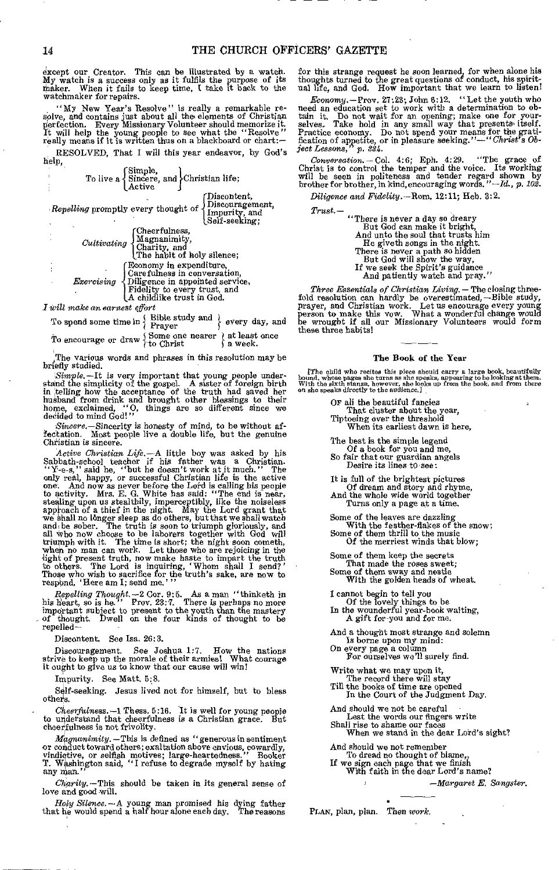except our Creator. This can be illustrated by a watch. My watch is a success only as it fulfils the purpose of its maker. When it fails to keep time, I take it back to the watchmaker for repairs.

"My New Year's Resolve" is really a remarkable resolve, and contains just about all the elements of Christian perfection. Every Missionary Volunteer should memorize it. It will help the young people to see what the "Resolv

RESOLVED, That I will this year endeavor, by God's help,

| To live a $\left\{ \begin{matrix} \text{Simple,} \\ \text{Since} \text{re,} \\ \text{Active,} \end{matrix} \right\}$ Christian life;                                                                                                                |  |
|-----------------------------------------------------------------------------------------------------------------------------------------------------------------------------------------------------------------------------------------------------|--|
| Repelling promptly every thought of $\left\{\begin{array}{l}\text{Discontent,}\\\text{Discounter,}\\\text{Impurity,}\\\text{Self-seeking}\end{array}\right.$                                                                                        |  |
| $\label{eq:cutivity} \begin{array}{ll} \textsc{Cheerfulness},\\ \textsc{Sungnanimity},\\ \textsc{Charity},\\ \textsc{Chavity},\\ \textsc{The habit of holy silence}; \end{array}$                                                                   |  |
| $\textit{Exercise:} \begin{cases} \textit{Economy in expenditure}, \\ \textit{Carefulness in conversation}, \\ \textit{Diligence in appointed service}, \\ \textit{Fidelity to every trust, and} \\ \textit{A childlike trust in God.} \end{cases}$ |  |

*I will make an earnest ef fort* 

To spend some time in  $\left\{\begin{array}{c} \text{Bible study and} \\ \text{Prayer} \end{array}\right\}$  every day, and

To encourage or draw  $\{\begin{array}{c}\text{Some one nearer} \\ \text{to Christ}\end{array}\}$  at least once

The various words and phrases in this resolution may be briefly studied.

Simple.-It is very important that young people under-<br>stand the simplicity of the gospel. A sister of foreign birth<br>in telling how the acceptance of the truth had saved her husband from drink and brought other blessings to their home, exclaimed, "0, things are so different since we dedided to mind God!"

Sincere.—Sincerity is honesty of mind, to be without af-fectation. Most people live a double life, but the genuine Christian is sincere.

*Active Christian Life.—A* little boy was asked by his Sabbath-school teacher if his father was a Christian.<br>
"Y-e-s," said he, "but he doesn't work at it much." The<br>
only real, happy, or successful Christian life is the active<br>
one. And now as never before the Lord is callin triumph with it. The time is short; the night soon cometh, when no man can work. Let those who are rejoicing in the light of present truth, now make haste to impart the truth to others. The Lord is inquiring, 'Whom shall I respond, 'Here am I; send me.'"

*Repelling Thought.*  $-2$  Cor. 9:5. As a man "thinketh in his heart, so is he." Prov. 23:7. There is perhaps no more important subject to present to the youth than the mastery of thought. Dwell on the four kinds of thought to be repelled—

Discontent. See Isa. 26:3.

Discouragement. See Joshua 1:7. How the nations ive to keep up the morale of their armies! What courage strive to keep up the morale of their armies! it ought to give us to know that our cause will win!

Impurity. See Matt. 5:8.

Self-seeking. Jesus lived not for himself, but to bless others.

Cheerfulness.-1 Thess. 5:16. It is well for young people to understand that cheerfulness is a Christian grace. But cheerfulness is not frivolity.

*Magnanimity.* —This is defined as " generous in sentiment or conduct toward others; exaltation above envious, cowardly, vindictive, or selfish motives; large-heartedness." Booker T. Washington said, "I refuse to degrade myself by hating any man.'

*Charity.* —This should be taken in its general sense of love and good will.

*Holy Silence.* —A young man promised his dying father that he would spend a half hour alone each day. The reasons

for this strange request he soon learned, for when alone his thoughts turned to the great questions of conduct, his spirit-ual life, and God. How important that we learn to listen!

Economy.--Prov. 27:23; John 6:12. "Let the youth who<br>need an education set to work with a determination to ob-<br>tain it. Do not wait for an opening; make one for your-<br>selves. Take hold in any small way that presents itsel

*Conversation.* - Col. 4:6; Eph. 4:29. "The grace of Christ is to control the temper and the voice. Its working will be seen in politeness and tender regard shown by brother for brother, in kind, encouraging words. "-Id.,

*Diligence and Fidelity.* —Rom, 12:11; Heb. 3:2.

*Trust.—*  "There is never a day so dreary But God can make it bright, And unto the soul that trusts him He giveth songs in the night. There is never a path so hidden But God will show the way, If we seek the Spirit's guidance And patiently watch and pray."

Three Essentials of Christian Living. — The closing three-fold resolution can hardly be overestimated, —Bible study, prayer, and Christian work. Let us encourage every young person to make this vow. What a wonderful change

#### The Book of the Year

[The child who recites this piece should carry a large book, beautifully bound, whose pages she turns as she speaks, appearing to be looking at them. With the sixth stanza, however, she looks up from the book, and from th

OF all the beautiful fancies That cluster about the year, Tiptoeing over the threshold When its earliest dawn is here,

The best is the simple legend Of a book for you and me, So fair that our guardian angels  $\overline{\text{Despite}}$  its lines to see:

It is full of the brightest pictures Of dream and story and rhyme, And the whole wide world together Turns only a page at a time.

Some of the leaves are dazzling With the feather-flakes of the snow; Some of them thrill to the music Of the merriest winds that blow;

Some of them keep the secrets That made the roses sweet; Some of them sway and nestle With the golden heads of wheat.

I cannot begin to tell you Of the lovely things to be In the wounderful year-book waiting, A gift for-you and for me.

And a thought most strange and solemn

Is borne upon my mind: On every page a column For ourselves we'll surely find.

Write what we may upon it, The record there will stay

Till the books of time are opened In the Court of the Judgment Day.

And should we not be careful Lest the words our fingers write Shall rise to shame our faces When we stand in the dear Lord's sight?

And should we not remember

To dread no thought of blame, If we sign each page that we finish

With faith in the dear Lord's name? —Margaret *E. Sangster.* 

PLAN, plan, plan. Then *work.*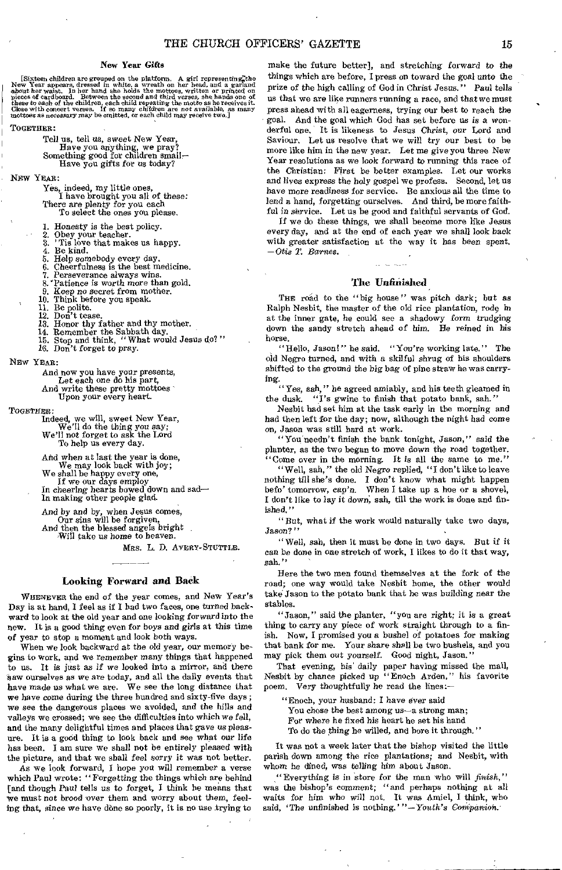#### New Year *Gifts*

[Sixteen children are grouped on the platform. A girl representing the New Year appears, dressed in white, a wreath on her head, and a garland about her waist. In her hand she holds the mottoes, written or printed on phot

#### TOGETHER:

Tell us, tell us, sweet New Year, Have you anything, we pray? Something good for children small— Have you gifts for us today?

#### NEW YEAR:

Yes, indeed, my little ones, I have brought you all of these: There are plenty for you each To select the ones you please.

1. Honesty is the best policy.<br>2. Obey your teacher.

- 
- 2. Obey your teacher. 3. ' Tis love that makes us happy. 3. Tis love<br>4. Be kind.<br>5. Help son

- 5. Help somebody every day.<br>6. Cheerfulness is the best m
- Cheerfulness is the best medicine.
- 7. Perseverance always wins.<br>8 Patience is worth more that
- 8. 'Patience is worth more than gold.<br>9. Keep no secret from mother.
- 9. Keep no secret from mother. 10. Think before you speak.
- 

11. Be polite.

- Don't tease.
- 13. Honor thy father and thy mother.
- 14. Remember the Sabbath day. 15. Stop and think, " What would Jesus do? "
- 16. Don't forget to pray.

#### NEW YEAR:

And now you have your presents, Let each one do his part, And write these pretty mottoes

Upon your every heart.

#### TOGETHER:

Indeed, we will, sweet New Year, We'll do the thing you say; We'll not *forget* to ask the Lord To help us every day.

And when at last the year is done, We may look back with joy; We shall be happy every one,

If we our days employ In cheering hearts bowed down and sad— In making other people glad.

And by and by, when Jesus comes, Our sins will be forgiven, And then the blessed angels bright Will take us *home* to heaven.

MRS. L. D. AVERY-STUTTLE.

#### Looking Forward and Back

WHENEVER the end of the year comes, and New Year's Day is at hand, I feel as if I had two faces, one turned backward to look at the old year and one looking forward into the new. It is a good thing even for boys and *girls* at this time of year to stop a moment and look both ways.

When we look backward at the old *year,* our memory begins to work, and we remember many things that happened to us. It is just as *if* we looked into a mirror, and there *saw* ourselves as we are today, and all the daily events that have made *us* what we are. We see the long distance that we have come during the three hundred and sixty-five days ; we see the dangerous places we avoided, and the hills and valleys we crossed; we see the difficulties into which we fell, and the many delightful times and places that gave *us* pleasure. It is a good thing to look back and see what our life has been. I am sure we shall not be entirely pleased with the picture, and that we shall feel *sorry it* was not better.

As we look forward, I hope you will remember a verse which Paul wrote: "Forgetting the things which are behind [and though Paul tells *us* to forget, I think he means that we must not brood over them and worry about them, feeling that, since we have done so poorly, it is no use trying to

make the future better], and stretching forward to the things which are before, I press on toward the goal unto the prize of the high calling of God in Christ Jesus." Paul tells us that we are like runners running a race, and that we must press ahead with all eagerness, trying our best to reach the goal. And the goal which God has set before us *is* a wonderful one, It is likeness to Jesus Christ, *our* Lord and Saviour. Let us resolve that we will try our best to be more like him in the new year. Let me give you three New Year resolutions as we look forward to running this race of the Christian: First be better examples. Let our works and lives express the holy gospel we profess. Second, let us have more readiness for service. Be anxious all the time to lend a hand, forgetting ourselves. And third, be more faithful in service. Let us be good and faithful servants of God.

If we do these things, we shall become more like Jesus every day, and at the end of each year we shall look back with greater satisfaction at the way it has been spent. *—Otis T. Barnes.* 

#### The Unfinished

THE road to the "big house" was pitch dark; but as Ralph Nesbit, the master of the old rice plantation, rode in at the inner gate, he could see a shadowy form trudging down the sandy stretch ahead of him. He reined in his horse.

"Hello, Jason!" he said. "You're working late." The old Negro turned, and with a skilful shrug of his shoulders shifted to the ground the big bag of pine straw he was carrying.

"Yes, sah, " he agreed amiably, and his teeth gleamed in the dusk. "I's gwine to finish that potato bank, sah."

Nesbit had set him at the task early in the morning and had then left for the day; now, although the night had come on, Jason was still hard at work.

"You needn't finish the bank tonight, *Jason," said* the planter, as the two began to move down the road together. Come over in the morning. It is all the same to me.'

"Well, sah," the old Negro replied, "I don't like to leave nothing till she's done. I don't know what might happen befo' tomorrow, cap'n. When I take up a hoe or a shovel, I don't like to lay it down; sah, till the work is done and finished."

*"But,* what if the work would naturally take two days, *Jason?"* 

"Well, sah, then it must be done in two days. But if it can be done in one stretch of work, I likes to do it that way, soh,"

Here the two men found themselves at the fork *of* the road; one way would take Nesbit home, the other would take.Jason to the potato bank that he was building near the stables.

"Jason," said the planter, "you are right; it is a great thing to carry any piece of work straight through to a finish. Now, I promised you a bushel of potatoes for making that bank for me. Your share shall be two bushels, and you may pick them out *yourself.* Good night, Jason."

That evening, his' daily paper having missed the mail, Nesbit by chance picked up "Enoch Arden," his favorite poem. Very thoughtfully he read the lines:—

"Enoch, your husband: I have ever said You chose the best *among* us—a strong man; For where he fixed his heart he set his hand To do the *thing* he willed, and bore it through."

It was not a week later that the bishop visited the little

parish down among the rice plantations; and Nesbit, with whom he dined, was *telling him* about Jason, "Everything is in store for the man who will *finish,"* 

was the bishop's comment; "and perhaps nothing at all waits for him who will not. It was Amiel, I think, who said, 'The unfinished is nothing.'"-Youth's Companion.